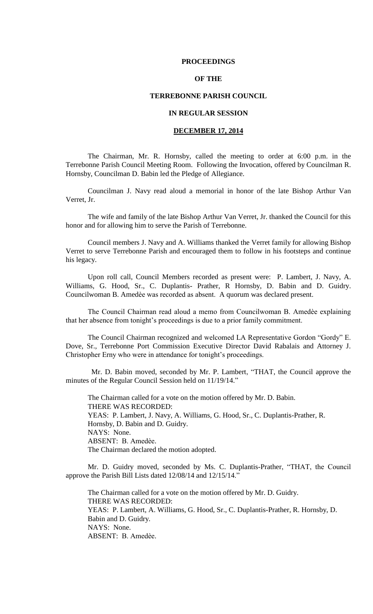## **PROCEEDINGS**

# **OF THE**

## **TERREBONNE PARISH COUNCIL**

# **IN REGULAR SESSION**

## **DECEMBER 17, 2014**

The Chairman, Mr. R. Hornsby, called the meeting to order at 6:00 p.m. in the Terrebonne Parish Council Meeting Room. Following the Invocation, offered by Councilman R. Hornsby, Councilman D. Babin led the Pledge of Allegiance.

Councilman J. Navy read aloud a memorial in honor of the late Bishop Arthur Van Verret, Jr.

The wife and family of the late Bishop Arthur Van Verret, Jr. thanked the Council for this honor and for allowing him to serve the Parish of Terrebonne.

Council members J. Navy and A. Williams thanked the Verret family for allowing Bishop Verret to serve Terrebonne Parish and encouraged them to follow in his footsteps and continue his legacy.

Upon roll call, Council Members recorded as present were: P. Lambert, J. Navy, A. Williams, G. Hood, Sr., C. Duplantis- Prather, R Hornsby, D. Babin and D. Guidry. Councilwoman B. Amedѐe was recorded as absent. A quorum was declared present.

The Council Chairman read aloud a memo from Councilwoman B. Amedèe explaining that her absence from tonight"s proceedings is due to a prior family commitment.

The Council Chairman recognized and welcomed LA Representative Gordon "Gordy" E. Dove, Sr., Terrebonne Port Commission Executive Director David Rabalais and Attorney J. Christopher Erny who were in attendance for tonight's proceedings.

 Mr. D. Babin moved, seconded by Mr. P. Lambert, "THAT, the Council approve the minutes of the Regular Council Session held on 11/19/14."

The Chairman called for a vote on the motion offered by Mr. D. Babin. THERE WAS RECORDED: YEAS: P. Lambert, J. Navy, A. Williams, G. Hood, Sr., C. Duplantis-Prather, R. Hornsby, D. Babin and D. Guidry. NAYS: None. ABSENT: B. Amedèe. The Chairman declared the motion adopted.

Mr. D. Guidry moved, seconded by Ms. C. Duplantis-Prather, "THAT, the Council approve the Parish Bill Lists dated 12/08/14 and 12/15/14."

The Chairman called for a vote on the motion offered by Mr. D. Guidry. THERE WAS RECORDED: YEAS: P. Lambert, A. Williams, G. Hood, Sr., C. Duplantis-Prather, R. Hornsby, D. Babin and D. Guidry. NAYS: None. ABSENT: B. Amedèe.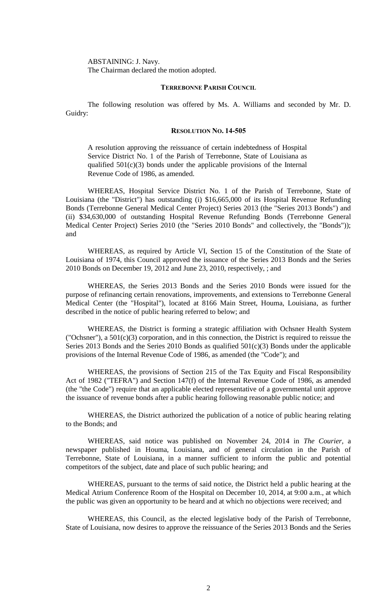ABSTAINING: J. Navy. The Chairman declared the motion adopted.

## **TERREBONNE PARISH COUNCIL**

The following resolution was offered by Ms. A. Williams and seconded by Mr. D. Guidry:

### **RESOLUTION NO. 14-505**

A resolution approving the reissuance of certain indebtedness of Hospital Service District No. 1 of the Parish of Terrebonne, State of Louisiana as qualified 501(c)(3) bonds under the applicable provisions of the Internal Revenue Code of 1986, as amended.

WHEREAS, Hospital Service District No. 1 of the Parish of Terrebonne, State of Louisiana (the "District") has outstanding (i) \$16,665,000 of its Hospital Revenue Refunding Bonds (Terrebonne General Medical Center Project) Series 2013 (the "Series 2013 Bonds") and (ii) \$34,630,000 of outstanding Hospital Revenue Refunding Bonds (Terrebonne General Medical Center Project) Series 2010 (the "Series 2010 Bonds" and collectively, the "Bonds")); and

WHEREAS, as required by Article VI, Section 15 of the Constitution of the State of Louisiana of 1974, this Council approved the issuance of the Series 2013 Bonds and the Series 2010 Bonds on December 19, 2012 and June 23, 2010, respectively, ; and

WHEREAS, the Series 2013 Bonds and the Series 2010 Bonds were issued for the purpose of refinancing certain renovations, improvements, and extensions to Terrebonne General Medical Center (the "Hospital"), located at 8166 Main Street, Houma, Louisiana, as further described in the notice of public hearing referred to below; and

WHEREAS, the District is forming a strategic affiliation with Ochsner Health System ("Ochsner"), a 501(c)(3) corporation, and in this connection, the District is required to reissue the Series 2013 Bonds and the Series 2010 Bonds as qualified 501(c)(3) Bonds under the applicable provisions of the Internal Revenue Code of 1986, as amended (the "Code"); and

WHEREAS, the provisions of Section 215 of the Tax Equity and Fiscal Responsibility Act of 1982 ("TEFRA") and Section 147(f) of the Internal Revenue Code of 1986, as amended (the "the Code") require that an applicable elected representative of a governmental unit approve the issuance of revenue bonds after a public hearing following reasonable public notice; and

WHEREAS, the District authorized the publication of a notice of public hearing relating to the Bonds; and

WHEREAS, said notice was published on November 24, 2014 in *The Courier,* a newspaper published in Houma, Louisiana, and of general circulation in the Parish of Terrebonne, State of Louisiana, in a manner sufficient to inform the public and potential competitors of the subject, date and place of such public hearing; and

WHEREAS, pursuant to the terms of said notice, the District held a public hearing at the Medical Atrium Conference Room of the Hospital on December 10, 2014, at 9:00 a.m., at which the public was given an opportunity to be heard and at which no objections were received; and

WHEREAS, this Council, as the elected legislative body of the Parish of Terrebonne, State of Louisiana, now desires to approve the reissuance of the Series 2013 Bonds and the Series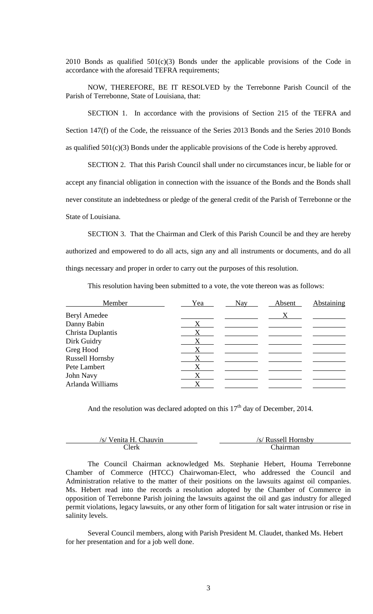2010 Bonds as qualified  $501(c)(3)$  Bonds under the applicable provisions of the Code in accordance with the aforesaid TEFRA requirements;

NOW, THEREFORE, BE IT RESOLVED by the Terrebonne Parish Council of the Parish of Terrebonne, State of Louisiana, that:

SECTION 1. In accordance with the provisions of Section 215 of the TEFRA and Section 147(f) of the Code, the reissuance of the Series 2013 Bonds and the Series 2010 Bonds as qualified  $501(c)(3)$  Bonds under the applicable provisions of the Code is hereby approved.

SECTION 2. That this Parish Council shall under no circumstances incur, be liable for or accept any financial obligation in connection with the issuance of the Bonds and the Bonds shall never constitute an indebtedness or pledge of the general credit of the Parish of Terrebonne or the State of Louisiana.

SECTION 3. That the Chairman and Clerk of this Parish Council be and they are hereby authorized and empowered to do all acts, sign any and all instruments or documents, and do all things necessary and proper in order to carry out the purposes of this resolution.

This resolution having been submitted to a vote, the vote thereon was as follows:

| Member                 | Yea | Nay | Absent | Abstaining |
|------------------------|-----|-----|--------|------------|
| <b>Beryl Amedee</b>    |     |     | X      |            |
| Danny Babin            |     |     |        |            |
| Christa Duplantis      | Χ   |     |        |            |
| Dirk Guidry            | X   |     |        |            |
| Greg Hood              | X   |     |        |            |
| <b>Russell Hornsby</b> | X   |     |        |            |
| Pete Lambert           | X   |     |        |            |
| John Navy              | X   |     |        |            |
| Arlanda Williams       |     |     |        |            |

And the resolution was declared adopted on this  $17<sup>th</sup>$  day of December, 2014.

| /s/ Venita H. Chauvin | /s/ Russell Hornsby |
|-----------------------|---------------------|
| `lerk                 | <i>Chairman</i>     |

The Council Chairman acknowledged Ms. Stephanie Hebert, Houma Terrebonne Chamber of Commerce (HTCC) Chairwoman-Elect, who addressed the Council and Administration relative to the matter of their positions on the lawsuits against oil companies. Ms. Hebert read into the records a resolution adopted by the Chamber of Commerce in opposition of Terrebonne Parish joining the lawsuits against the oil and gas industry for alleged permit violations, legacy lawsuits, or any other form of litigation for salt water intrusion or rise in salinity levels.

Several Council members, along with Parish President M. Claudet, thanked Ms. Hebert for her presentation and for a job well done.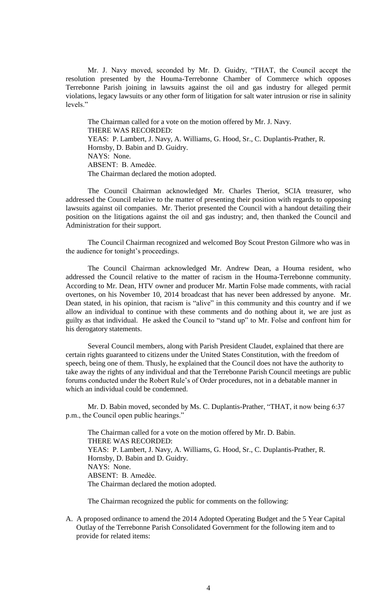Mr. J. Navy moved, seconded by Mr. D. Guidry, "THAT, the Council accept the resolution presented by the Houma-Terrebonne Chamber of Commerce which opposes Terrebonne Parish joining in lawsuits against the oil and gas industry for alleged permit violations, legacy lawsuits or any other form of litigation for salt water intrusion or rise in salinity levels."

The Chairman called for a vote on the motion offered by Mr. J. Navy. THERE WAS RECORDED: YEAS: P. Lambert, J. Navy, A. Williams, G. Hood, Sr., C. Duplantis-Prather, R. Hornsby, D. Babin and D. Guidry. NAYS: None. ABSENT: B. Amedèe. The Chairman declared the motion adopted.

The Council Chairman acknowledged Mr. Charles Theriot, SCIA treasurer, who addressed the Council relative to the matter of presenting their position with regards to opposing lawsuits against oil companies. Mr. Theriot presented the Council with a handout detailing their position on the litigations against the oil and gas industry; and, then thanked the Council and Administration for their support.

The Council Chairman recognized and welcomed Boy Scout Preston Gilmore who was in the audience for tonight's proceedings.

The Council Chairman acknowledged Mr. Andrew Dean, a Houma resident, who addressed the Council relative to the matter of racism in the Houma-Terrebonne community. According to Mr. Dean, HTV owner and producer Mr. Martin Folse made comments, with racial overtones, on his November 10, 2014 broadcast that has never been addressed by anyone. Mr. Dean stated, in his opinion, that racism is "alive" in this community and this country and if we allow an individual to continue with these comments and do nothing about it, we are just as guilty as that individual. He asked the Council to "stand up" to Mr. Folse and confront him for his derogatory statements.

Several Council members, along with Parish President Claudet, explained that there are certain rights guaranteed to citizens under the United States Constitution, with the freedom of speech, being one of them. Thusly, he explained that the Council does not have the authority to take away the rights of any individual and that the Terrebonne Parish Council meetings are public forums conducted under the Robert Rule's of Order procedures, not in a debatable manner in which an individual could be condemned.

Mr. D. Babin moved, seconded by Ms. C. Duplantis-Prather, "THAT, it now being 6:37 p.m., the Council open public hearings."

The Chairman called for a vote on the motion offered by Mr. D. Babin. THERE WAS RECORDED: YEAS: P. Lambert, J. Navy, A. Williams, G. Hood, Sr., C. Duplantis-Prather, R. Hornsby, D. Babin and D. Guidry. NAYS: None. ABSENT: B. Amedѐe. The Chairman declared the motion adopted.

The Chairman recognized the public for comments on the following:

A. A proposed ordinance to amend the 2014 Adopted Operating Budget and the 5 Year Capital Outlay of the Terrebonne Parish Consolidated Government for the following item and to provide for related items: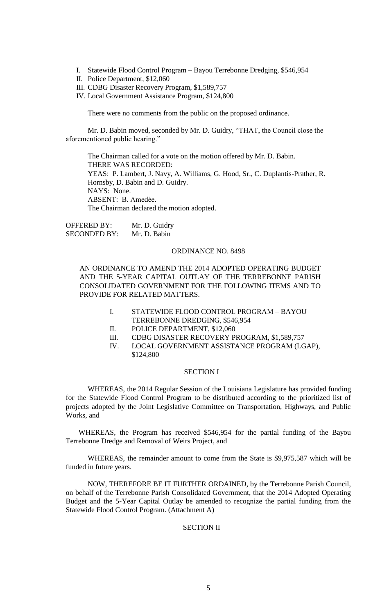- I. Statewide Flood Control Program Bayou Terrebonne Dredging, \$546,954
- II. Police Department, \$12,060
- III. CDBG Disaster Recovery Program, \$1,589,757
- IV. Local Government Assistance Program, \$124,800

There were no comments from the public on the proposed ordinance.

Mr. D. Babin moved, seconded by Mr. D. Guidry, "THAT, the Council close the aforementioned public hearing."

The Chairman called for a vote on the motion offered by Mr. D. Babin. THERE WAS RECORDED: YEAS: P. Lambert, J. Navy, A. Williams, G. Hood, Sr., C. Duplantis-Prather, R. Hornsby, D. Babin and D. Guidry. NAYS: None. ABSENT: B. Amedѐe. The Chairman declared the motion adopted.

OFFERED BY: Mr. D. Guidry SECONDED BY: Mr. D. Babin

### ORDINANCE NO. 8498

AN ORDINANCE TO AMEND THE 2014 ADOPTED OPERATING BUDGET AND THE 5-YEAR CAPITAL OUTLAY OF THE TERREBONNE PARISH CONSOLIDATED GOVERNMENT FOR THE FOLLOWING ITEMS AND TO PROVIDE FOR RELATED MATTERS.

- I. STATEWIDE FLOOD CONTROL PROGRAM BAYOU TERREBONNE DREDGING, \$546,954
- II. POLICE DEPARTMENT, \$12,060
- III. CDBG DISASTER RECOVERY PROGRAM, \$1,589,757
- IV. LOCAL GOVERNMENT ASSISTANCE PROGRAM (LGAP), \$124,800

## SECTION I

WHEREAS, the 2014 Regular Session of the Louisiana Legislature has provided funding for the Statewide Flood Control Program to be distributed according to the prioritized list of projects adopted by the Joint Legislative Committee on Transportation, Highways, and Public Works, and

WHEREAS, the Program has received \$546,954 for the partial funding of the Bayou Terrebonne Dredge and Removal of Weirs Project, and

WHEREAS, the remainder amount to come from the State is \$9,975,587 which will be funded in future years.

NOW, THEREFORE BE IT FURTHER ORDAINED, by the Terrebonne Parish Council, on behalf of the Terrebonne Parish Consolidated Government, that the 2014 Adopted Operating Budget and the 5-Year Capital Outlay be amended to recognize the partial funding from the Statewide Flood Control Program. (Attachment A)

# SECTION II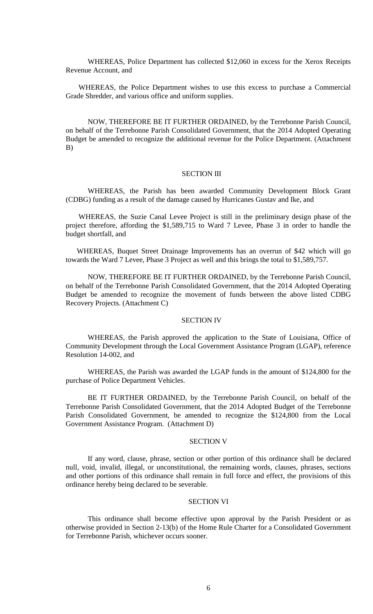WHEREAS, Police Department has collected \$12,060 in excess for the Xerox Receipts Revenue Account, and

WHEREAS, the Police Department wishes to use this excess to purchase a Commercial Grade Shredder, and various office and uniform supplies.

NOW, THEREFORE BE IT FURTHER ORDAINED, by the Terrebonne Parish Council, on behalf of the Terrebonne Parish Consolidated Government, that the 2014 Adopted Operating Budget be amended to recognize the additional revenue for the Police Department. (Attachment B)

## SECTION III

WHEREAS, the Parish has been awarded Community Development Block Grant (CDBG) funding as a result of the damage caused by Hurricanes Gustav and Ike, and

WHEREAS, the Suzie Canal Levee Project is still in the preliminary design phase of the project therefore, affording the \$1,589,715 to Ward 7 Levee, Phase 3 in order to handle the budget shortfall, and

WHEREAS, Buquet Street Drainage Improvements has an overrun of \$42 which will go towards the Ward 7 Levee, Phase 3 Project as well and this brings the total to \$1,589,757.

NOW, THEREFORE BE IT FURTHER ORDAINED, by the Terrebonne Parish Council, on behalf of the Terrebonne Parish Consolidated Government, that the 2014 Adopted Operating Budget be amended to recognize the movement of funds between the above listed CDBG Recovery Projects. (Attachment C)

## SECTION IV

WHEREAS, the Parish approved the application to the State of Louisiana, Office of Community Development through the Local Government Assistance Program (LGAP), reference Resolution 14-002, and

WHEREAS, the Parish was awarded the LGAP funds in the amount of \$124,800 for the purchase of Police Department Vehicles.

BE IT FURTHER ORDAINED, by the Terrebonne Parish Council, on behalf of the Terrebonne Parish Consolidated Government, that the 2014 Adopted Budget of the Terrebonne Parish Consolidated Government, be amended to recognize the \$124,800 from the Local Government Assistance Program. (Attachment D)

# SECTION V

If any word, clause, phrase, section or other portion of this ordinance shall be declared null, void, invalid, illegal, or unconstitutional, the remaining words, clauses, phrases, sections and other portions of this ordinance shall remain in full force and effect, the provisions of this ordinance hereby being declared to be severable.

## SECTION VI

This ordinance shall become effective upon approval by the Parish President or as otherwise provided in Section 2-13(b) of the Home Rule Charter for a Consolidated Government for Terrebonne Parish, whichever occurs sooner.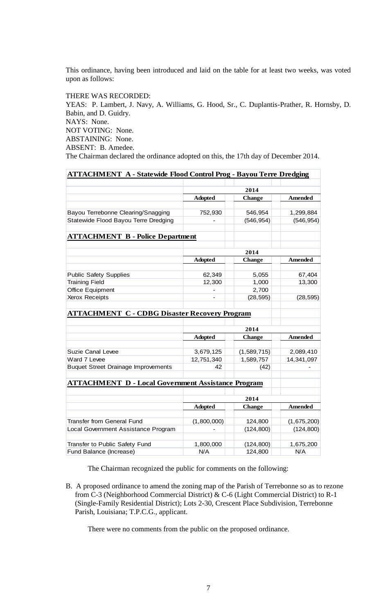This ordinance, having been introduced and laid on the table for at least two weeks, was voted upon as follows:

THERE WAS RECORDED:

YEAS: P. Lambert, J. Navy, A. Williams, G. Hood, Sr., C. Duplantis-Prather, R. Hornsby, D. Babin, and D. Guidry. NAYS: None. NOT VOTING: None. ABSTAINING: None. ABSENT: B. Amedee. The Chairman declared the ordinance adopted on this, the 17th day of December 2014.

| <b>ATTACHMENT A - Statewide Flood Control Prog - Bayou Terre Dredging</b> |                |               |                |
|---------------------------------------------------------------------------|----------------|---------------|----------------|
|                                                                           | 2014           |               |                |
|                                                                           | <b>Adopted</b> | <b>Change</b> | <b>Amended</b> |
| Bayou Terrebonne Clearing/Snagging                                        | 752,930        | 546,954       | 1,299,884      |
| Statewide Flood Bayou Terre Dredging                                      |                | (546, 954)    | (546, 954)     |
|                                                                           |                |               |                |
| <b>ATTACHMENT B - Police Department</b>                                   |                |               |                |
|                                                                           | 2014           |               |                |
|                                                                           | <b>Adopted</b> | <b>Change</b> | <b>Amended</b> |
|                                                                           |                |               |                |
| <b>Public Safety Supplies</b>                                             | 62,349         | 5,055         | 67,404         |
| <b>Training Field</b>                                                     | 12,300         | 1,000         | 13,300         |
| Office Equipment                                                          |                | 2,700         |                |
| Xerox Receipts                                                            | $\blacksquare$ | (28, 595)     | (28, 595)      |
| <b>ATTACHMENT C - CDBG Disaster Recovery Program</b>                      |                |               |                |
|                                                                           |                |               |                |
|                                                                           | 2014           |               |                |
|                                                                           | <b>Adopted</b> | <b>Change</b> | <b>Amended</b> |
| <b>Suzie Canal Levee</b>                                                  | 3,679,125      | (1,589,715)   | 2,089,410      |
| Ward 7 Levee                                                              | 12,751,340     | 1,589,757     | 14,341,097     |
| <b>Buquet Street Drainage Improvements</b>                                | 42             | (42)          |                |
|                                                                           |                |               |                |
| <b>ATTACHMENT D - Local Government Assistance Program</b>                 |                |               |                |
|                                                                           | 2014           |               |                |
|                                                                           | <b>Adopted</b> | <b>Change</b> | <b>Amended</b> |
|                                                                           |                |               |                |
| <b>Transfer from General Fund</b>                                         | (1,800,000)    | 124,800       | (1,675,200)    |
| Local Government Assistance Program                                       |                | (124, 800)    | (124, 800)     |
| Transfer to Public Safety Fund                                            | 1,800,000      | (124, 800)    | 1,675,200      |
| Fund Balance (Increase)                                                   | N/A            | 124,800       | N/A            |

The Chairman recognized the public for comments on the following:

B. A proposed ordinance to amend the zoning map of the Parish of Terrebonne so as to rezone from C-3 (Neighborhood Commercial District) & C-6 (Light Commercial District) to R-1 (Single-Family Residential District); Lots 2-30, Crescent Place Subdivision, Terrebonne Parish, Louisiana; T.P.C.G., applicant.

There were no comments from the public on the proposed ordinance.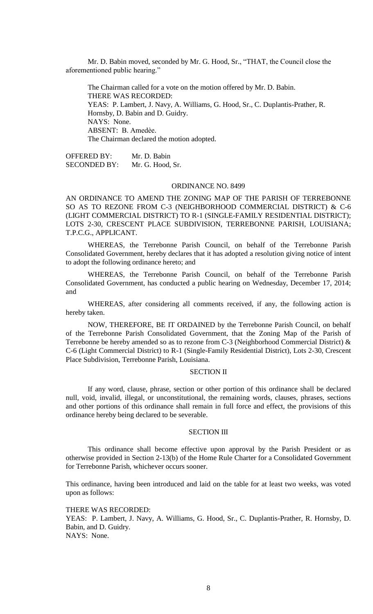Mr. D. Babin moved, seconded by Mr. G. Hood, Sr., "THAT, the Council close the aforementioned public hearing."

The Chairman called for a vote on the motion offered by Mr. D. Babin. THERE WAS RECORDED: YEAS: P. Lambert, J. Navy, A. Williams, G. Hood, Sr., C. Duplantis-Prather, R. Hornsby, D. Babin and D. Guidry. NAYS: None. ABSENT: B. Amedèe. The Chairman declared the motion adopted.

OFFERED BY: Mr. D. Babin SECONDED BY: Mr. G. Hood, Sr.

### ORDINANCE NO. 8499

AN ORDINANCE TO AMEND THE ZONING MAP OF THE PARISH OF TERREBONNE SO AS TO REZONE FROM C-3 (NEIGHBORHOOD COMMERCIAL DISTRICT) & C-6 (LIGHT COMMERCIAL DISTRICT) TO R-1 (SINGLE-FAMILY RESIDENTIAL DISTRICT); LOTS 2-30, CRESCENT PLACE SUBDIVISION, TERREBONNE PARISH, LOUISIANA; T.P.C.G., APPLICANT.

WHEREAS, the Terrebonne Parish Council, on behalf of the Terrebonne Parish Consolidated Government, hereby declares that it has adopted a resolution giving notice of intent to adopt the following ordinance hereto; and

WHEREAS, the Terrebonne Parish Council, on behalf of the Terrebonne Parish Consolidated Government, has conducted a public hearing on Wednesday, December 17, 2014; and

WHEREAS, after considering all comments received, if any, the following action is hereby taken.

NOW, THEREFORE, BE IT ORDAINED by the Terrebonne Parish Council, on behalf of the Terrebonne Parish Consolidated Government, that the Zoning Map of the Parish of Terrebonne be hereby amended so as to rezone from C-3 (Neighborhood Commercial District) & C-6 (Light Commercial District) to R-1 (Single-Family Residential District), Lots 2-30, Crescent Place Subdivision, Terrebonne Parish, Louisiana.

## SECTION II

If any word, clause, phrase, section or other portion of this ordinance shall be declared null, void, invalid, illegal, or unconstitutional, the remaining words, clauses, phrases, sections and other portions of this ordinance shall remain in full force and effect, the provisions of this ordinance hereby being declared to be severable.

# SECTION III

This ordinance shall become effective upon approval by the Parish President or as otherwise provided in Section 2-13(b) of the Home Rule Charter for a Consolidated Government for Terrebonne Parish, whichever occurs sooner.

This ordinance, having been introduced and laid on the table for at least two weeks, was voted upon as follows:

THERE WAS RECORDED:

YEAS: P. Lambert, J. Navy, A. Williams, G. Hood, Sr., C. Duplantis-Prather, R. Hornsby, D. Babin, and D. Guidry. NAYS: None.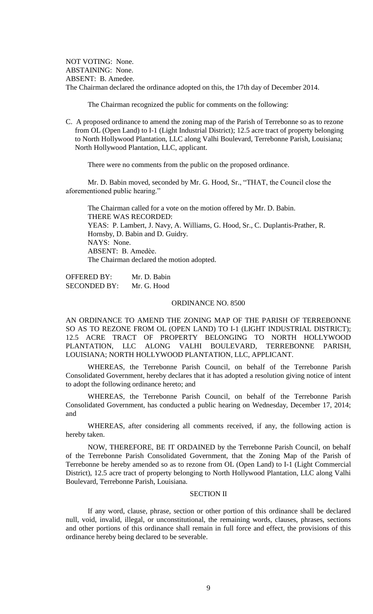NOT VOTING: None. ABSTAINING: None. ABSENT: B. Amedee. The Chairman declared the ordinance adopted on this, the 17th day of December 2014.

The Chairman recognized the public for comments on the following:

C. A proposed ordinance to amend the zoning map of the Parish of Terrebonne so as to rezone from OL (Open Land) to I-1 (Light Industrial District); 12.5 acre tract of property belonging to North Hollywood Plantation, LLC along Valhi Boulevard, Terrebonne Parish, Louisiana; North Hollywood Plantation, LLC, applicant.

There were no comments from the public on the proposed ordinance.

Mr. D. Babin moved, seconded by Mr. G. Hood, Sr., "THAT, the Council close the aforementioned public hearing."

The Chairman called for a vote on the motion offered by Mr. D. Babin. THERE WAS RECORDED: YEAS: P. Lambert, J. Navy, A. Williams, G. Hood, Sr., C. Duplantis-Prather, R. Hornsby, D. Babin and D. Guidry. NAYS: None. ABSENT: B. Amedѐe. The Chairman declared the motion adopted.

OFFERED BY: Mr. D. Babin SECONDED BY: Mr. G. Hood

## ORDINANCE NO. 8500

AN ORDINANCE TO AMEND THE ZONING MAP OF THE PARISH OF TERREBONNE SO AS TO REZONE FROM OL (OPEN LAND) TO I-1 (LIGHT INDUSTRIAL DISTRICT); 12.5 ACRE TRACT OF PROPERTY BELONGING TO NORTH HOLLYWOOD PLANTATION, LLC ALONG VALHI BOULEVARD, TERREBONNE PARISH, LOUISIANA; NORTH HOLLYWOOD PLANTATION, LLC, APPLICANT.

WHEREAS, the Terrebonne Parish Council, on behalf of the Terrebonne Parish Consolidated Government, hereby declares that it has adopted a resolution giving notice of intent to adopt the following ordinance hereto; and

WHEREAS, the Terrebonne Parish Council, on behalf of the Terrebonne Parish Consolidated Government, has conducted a public hearing on Wednesday, December 17, 2014; and

WHEREAS, after considering all comments received, if any, the following action is hereby taken.

NOW, THEREFORE, BE IT ORDAINED by the Terrebonne Parish Council, on behalf of the Terrebonne Parish Consolidated Government, that the Zoning Map of the Parish of Terrebonne be hereby amended so as to rezone from OL (Open Land) to I-1 (Light Commercial District), 12.5 acre tract of property belonging to North Hollywood Plantation, LLC along Valhi Boulevard, Terrebonne Parish, Louisiana.

### SECTION II

If any word, clause, phrase, section or other portion of this ordinance shall be declared null, void, invalid, illegal, or unconstitutional, the remaining words, clauses, phrases, sections and other portions of this ordinance shall remain in full force and effect, the provisions of this ordinance hereby being declared to be severable.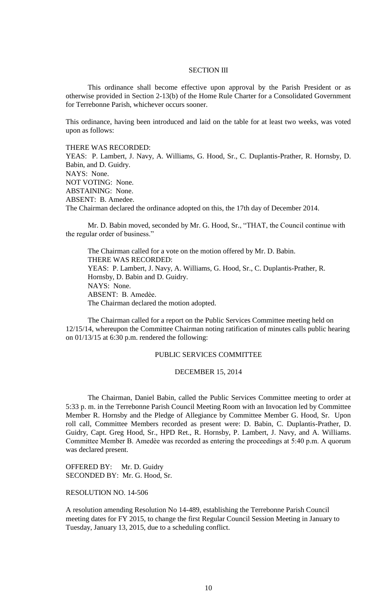# SECTION III

This ordinance shall become effective upon approval by the Parish President or as otherwise provided in Section 2-13(b) of the Home Rule Charter for a Consolidated Government for Terrebonne Parish, whichever occurs sooner.

This ordinance, having been introduced and laid on the table for at least two weeks, was voted upon as follows:

### THERE WAS RECORDED:

YEAS: P. Lambert, J. Navy, A. Williams, G. Hood, Sr., C. Duplantis-Prather, R. Hornsby, D. Babin, and D. Guidry. NAYS: None. NOT VOTING: None. ABSTAINING: None. ABSENT: B. Amedee. The Chairman declared the ordinance adopted on this, the 17th day of December 2014.

Mr. D. Babin moved, seconded by Mr. G. Hood, Sr., "THAT, the Council continue with the regular order of business."

The Chairman called for a vote on the motion offered by Mr. D. Babin. THERE WAS RECORDED: YEAS: P. Lambert, J. Navy, A. Williams, G. Hood, Sr., C. Duplantis-Prather, R. Hornsby, D. Babin and D. Guidry. NAYS: None. ABSENT: B. Amedѐe. The Chairman declared the motion adopted.

The Chairman called for a report on the Public Services Committee meeting held on 12/15/14, whereupon the Committee Chairman noting ratification of minutes calls public hearing on 01/13/15 at 6:30 p.m. rendered the following:

## PUBLIC SERVICES COMMITTEE

## DECEMBER 15, 2014

The Chairman, Daniel Babin, called the Public Services Committee meeting to order at 5:33 p. m. in the Terrebonne Parish Council Meeting Room with an Invocation led by Committee Member R. Hornsby and the Pledge of Allegiance by Committee Member G. Hood, Sr. Upon roll call, Committee Members recorded as present were: D. Babin, C. Duplantis-Prather, D. Guidry, Capt. Greg Hood, Sr., HPD Ret., R. Hornsby, P. Lambert, J. Navy, and A. Williams. Committee Member B. Amedèe was recorded as entering the proceedings at 5:40 p.m. A quorum was declared present.

OFFERED BY: Mr. D. Guidry SECONDED BY: Mr. G. Hood, Sr.

RESOLUTION NO. 14-506

A resolution amending Resolution No 14-489, establishing the Terrebonne Parish Council meeting dates for FY 2015, to change the first Regular Council Session Meeting in January to Tuesday, January 13, 2015, due to a scheduling conflict.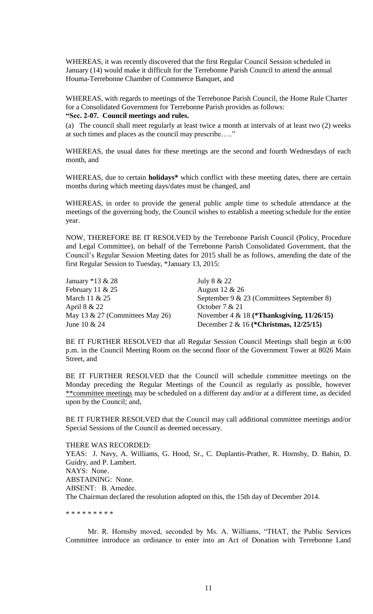WHEREAS, it was recently discovered that the first Regular Council Session scheduled in January (14) would make it difficult for the Terrebonne Parish Council to attend the annual Houma-Terrebonne Chamber of Commerce Banquet, and

WHEREAS, with regards to meetings of the Terrebonne Parish Council, the Home Rule Charter for a Consolidated Government for Terrebonne Parish provides as follows:

# **"Sec. 2-07. Council meetings and rules.**

(a) The council shall meet regularly at least twice a month at intervals of at least two (2) weeks at such times and places as the council may prescribe….."

WHEREAS, the usual dates for these meetings are the second and fourth Wednesdays of each month, and

WHEREAS, due to certain **holidays\*** which conflict with these meeting dates, there are certain months during which meeting days/dates must be changed, and

WHEREAS, in order to provide the general public ample time to schedule attendance at the meetings of the governing body, the Council wishes to establish a meeting schedule for the entire year.

NOW, THEREFORE BE IT RESOLVED by the Terrebonne Parish Council (Policy, Procedure and Legal Committee), on behalf of the Terrebonne Parish Consolidated Government, that the Council"s Regular Session Meeting dates for 2015 shall be as follows, amending the date of the first Regular Session to Tuesday, \*January 13, 2015:

| January $*13 & 28$              | July 8 & 22                                  |
|---------------------------------|----------------------------------------------|
| February 11 $& 25$              | August 12 & 26                               |
| March 11 & 25                   | September 9 & 23 (Committees September 8)    |
| April 8 & 22                    | October $7 & 21$                             |
| May 13 & 27 (Committees May 26) | November 4 & 18 (*Thanksgiving, $11/26/15$ ) |
| June 10 $& 24$                  | December 2 & 16 (*Christmas, $12/25/15$ )    |

BE IT FURTHER RESOLVED that all Regular Session Council Meetings shall begin at 6:00 p.m. in the Council Meeting Room on the second floor of the Government Tower at 8026 Main Street, and

BE IT FURTHER RESOLVED that the Council will schedule committee meetings on the Monday preceding the Regular Meetings of the Council as regularly as possible, however \*\*committee meetings may be scheduled on a different day and/or at a different time, as decided upon by the Council; and,

BE IT FURTHER RESOLVED that the Council may call additional committee meetings and/or Special Sessions of the Council as deemed necessary.

## THERE WAS RECORDED:

YEAS: J. Navy, A. Williams, G. Hood, Sr., C. Duplantis-Prather, R. Hornsby, D. Babin, D. Guidry, and P. Lambert. NAYS: None. ABSTAINING: None. ABSENT: B. Amedée. The Chairman declared the resolution adopted on this, the 15th day of December 2014.

\* \* \* \* \* \* \* \* \*

Mr. R. Hornsby moved, seconded by Ms. A. Williams, "THAT, the Public Services Committee introduce an ordinance to enter into an Act of Donation with Terrebonne Land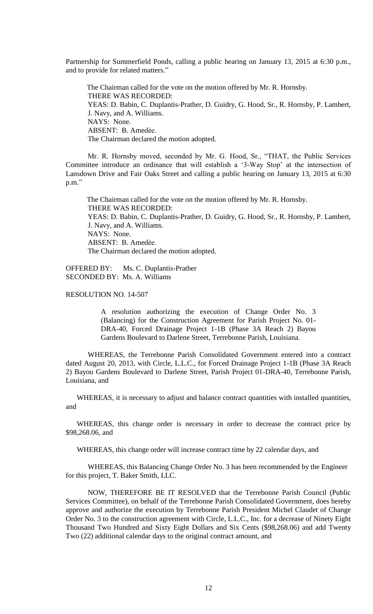Partnership for Summerfield Ponds, calling a public hearing on January 13, 2015 at 6:30 p.m., and to provide for related matters."

The Chairman called for the vote on the motion offered by Mr. R. Hornsby. THERE WAS RECORDED: YEAS: D. Babin, C. Duplantis-Prather, D. Guidry, G. Hood, Sr., R. Hornsby, P. Lambert, J. Navy, and A. Williams. NAYS: None. ABSENT: B. Amedѐe. The Chairman declared the motion adopted.

Mr. R. Hornsby moved, seconded by Mr. G. Hood, Sr., "THAT, the Public Services Committee introduce an ordinance that will establish a "3-Way Stop" at the intersection of Lansdown Drive and Fair Oaks Street and calling a public hearing on January 13, 2015 at 6:30 p.m."

The Chairman called for the vote on the motion offered by Mr. R. Hornsby. THERE WAS RECORDED: YEAS: D. Babin, C. Duplantis-Prather, D. Guidry, G. Hood, Sr., R. Hornsby, P. Lambert, J. Navy, and A. Williams. NAYS: None. ABSENT: B. Amedѐe. The Chairman declared the motion adopted.

OFFERED BY: Ms. C. Duplantis-Prather SECONDED BY: Ms. A. Williams

## RESOLUTION NO. 14-507

A resolution authorizing the execution of Change Order No. 3 (Balancing) for the Construction Agreement for Parish Project No. 01- DRA-40, Forced Drainage Project 1-1B (Phase 3A Reach 2) Bayou Gardens Boulevard to Darlene Street, Terrebonne Parish, Louisiana.

WHEREAS, the Terrebonne Parish Consolidated Government entered into a contract dated August 20, 2013, with Circle, L.L.C., for Forced Drainage Project 1-1B (Phase 3A Reach 2) Bayou Gardens Boulevard to Darlene Street, Parish Project 01-DRA-40, Terrebonne Parish, Louisiana, and

WHEREAS, it is necessary to adjust and balance contract quantities with installed quantities, and

WHEREAS, this change order is necessary in order to decrease the contract price by \$98,268.06, and

WHEREAS, this change order will increase contract time by 22 calendar days, and

WHEREAS, this Balancing Change Order No. 3 has been recommended by the Engineer for this project, T. Baker Smith, LLC.

NOW, THEREFORE BE IT RESOLVED that the Terrebonne Parish Council (Public Services Committee), on behalf of the Terrebonne Parish Consolidated Government, does hereby approve and authorize the execution by Terrebonne Parish President Michel Claudet of Change Order No. 3 to the construction agreement with Circle, L.L.C., Inc. for a decrease of Ninety Eight Thousand Two Hundred and Sixty Eight Dollars and Six Cents (\$98,268.06) and add Twenty Two (22) additional calendar days to the original contract amount, and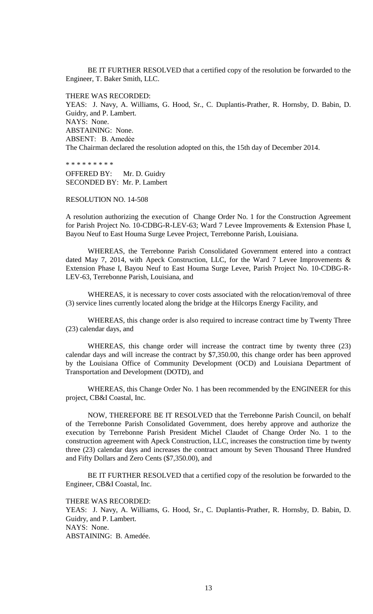BE IT FURTHER RESOLVED that a certified copy of the resolution be forwarded to the Engineer, T. Baker Smith, LLC.

THERE WAS RECORDED:

YEAS: J. Navy, A. Williams, G. Hood, Sr., C. Duplantis-Prather, R. Hornsby, D. Babin, D. Guidry, and P. Lambert. NAYS: None. ABSTAINING: None. ABSENT: B. Amedẻe The Chairman declared the resolution adopted on this, the 15th day of December 2014.

\* \* \* \* \* \* \* \* \* OFFERED BY: Mr. D. Guidry SECONDED BY: Mr. P. Lambert

## RESOLUTION NO. 14-508

A resolution authorizing the execution of Change Order No. 1 for the Construction Agreement for Parish Project No. 10-CDBG-R-LEV-63; Ward 7 Levee Improvements & Extension Phase I, Bayou Neuf to East Houma Surge Levee Project, Terrebonne Parish, Louisiana.

WHEREAS, the Terrebonne Parish Consolidated Government entered into a contract dated May 7, 2014, with Apeck Construction, LLC, for the Ward 7 Levee Improvements  $\&$ Extension Phase I, Bayou Neuf to East Houma Surge Levee, Parish Project No. 10-CDBG-R-LEV-63, Terrebonne Parish, Louisiana, and

WHEREAS, it is necessary to cover costs associated with the relocation/removal of three (3) service lines currently located along the bridge at the Hilcorps Energy Facility, and

WHEREAS, this change order is also required to increase contract time by Twenty Three (23) calendar days, and

WHEREAS, this change order will increase the contract time by twenty three (23) calendar days and will increase the contract by \$7,350.00, this change order has been approved by the Louisiana Office of Community Development (OCD) and Louisiana Department of Transportation and Development (DOTD), and

WHEREAS, this Change Order No. 1 has been recommended by the ENGINEER for this project, CB&I Coastal, Inc.

NOW, THEREFORE BE IT RESOLVED that the Terrebonne Parish Council, on behalf of the Terrebonne Parish Consolidated Government, does hereby approve and authorize the execution by Terrebonne Parish President Michel Claudet of Change Order No. 1 to the construction agreement with Apeck Construction, LLC, increases the construction time by twenty three (23) calendar days and increases the contract amount by Seven Thousand Three Hundred and Fifty Dollars and Zero Cents (\$7,350.00), and

BE IT FURTHER RESOLVED that a certified copy of the resolution be forwarded to the Engineer, CB&I Coastal, Inc.

THERE WAS RECORDED:

YEAS: J. Navy, A. Williams, G. Hood, Sr., C. Duplantis-Prather, R. Hornsby, D. Babin, D. Guidry, and P. Lambert. NAYS: None.

ABSTAINING: B. Amedée.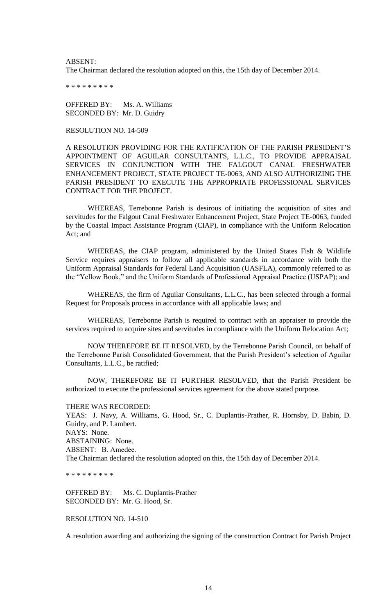ABSENT:

The Chairman declared the resolution adopted on this, the 15th day of December 2014.

\* \* \* \* \* \* \* \* \*

OFFERED BY: Ms. A. Williams SECONDED BY: Mr. D. Guidry

RESOLUTION NO. 14-509

A RESOLUTION PROVIDING FOR THE RATIFICATION OF THE PARISH PRESIDENT"S APPOINTMENT OF AGUILAR CONSULTANTS, L.L.C., TO PROVIDE APPRAISAL SERVICES IN CONJUNCTION WITH THE FALGOUT CANAL FRESHWATER ENHANCEMENT PROJECT, STATE PROJECT TE-0063, AND ALSO AUTHORIZING THE PARISH PRESIDENT TO EXECUTE THE APPROPRIATE PROFESSIONAL SERVICES CONTRACT FOR THE PROJECT.

WHEREAS, Terrebonne Parish is desirous of initiating the acquisition of sites and servitudes for the Falgout Canal Freshwater Enhancement Project, State Project TE-0063, funded by the Coastal Impact Assistance Program (CIAP), in compliance with the Uniform Relocation Act; and

WHEREAS, the CIAP program, administered by the United States Fish & Wildlife Service requires appraisers to follow all applicable standards in accordance with both the Uniform Appraisal Standards for Federal Land Acquisition (UASFLA), commonly referred to as the "Yellow Book," and the Uniform Standards of Professional Appraisal Practice (USPAP); and

WHEREAS, the firm of Aguilar Consultants, L.L.C., has been selected through a formal Request for Proposals process in accordance with all applicable laws; and

WHEREAS, Terrebonne Parish is required to contract with an appraiser to provide the services required to acquire sites and servitudes in compliance with the Uniform Relocation Act;

NOW THEREFORE BE IT RESOLVED, by the Terrebonne Parish Council, on behalf of the Terrebonne Parish Consolidated Government, that the Parish President's selection of Aguilar Consultants, L.L.C., be ratified;

NOW, THEREFORE BE IT FURTHER RESOLVED, that the Parish President be authorized to execute the professional services agreement for the above stated purpose.

THERE WAS RECORDED: YEAS: J. Navy, A. Williams, G. Hood, Sr., C. Duplantis-Prather, R. Hornsby, D. Babin, D. Guidry, and P. Lambert. NAYS: None. ABSTAINING: None. ABSENT: B. Amedée. The Chairman declared the resolution adopted on this, the 15th day of December 2014.

\* \* \* \* \* \* \* \* \*

OFFERED BY: Ms. C. Duplantis-Prather SECONDED BY: Mr. G. Hood, Sr.

RESOLUTION NO. 14-510

A resolution awarding and authorizing the signing of the construction Contract for Parish Project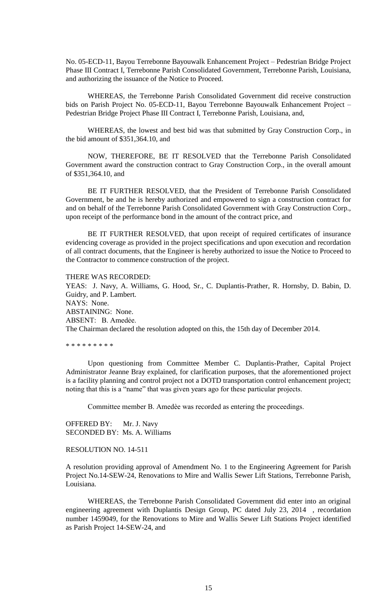No. 05-ECD-11, Bayou Terrebonne Bayouwalk Enhancement Project – Pedestrian Bridge Project Phase III Contract I, Terrebonne Parish Consolidated Government, Terrebonne Parish, Louisiana, and authorizing the issuance of the Notice to Proceed.

WHEREAS, the Terrebonne Parish Consolidated Government did receive construction bids on Parish Project No. 05-ECD-11, Bayou Terrebonne Bayouwalk Enhancement Project – Pedestrian Bridge Project Phase III Contract I, Terrebonne Parish, Louisiana, and,

WHEREAS, the lowest and best bid was that submitted by Gray Construction Corp., in the bid amount of \$351,364.10, and

NOW, THEREFORE, BE IT RESOLVED that the Terrebonne Parish Consolidated Government award the construction contract to Gray Construction Corp., in the overall amount of \$351,364.10, and

BE IT FURTHER RESOLVED, that the President of Terrebonne Parish Consolidated Government, be and he is hereby authorized and empowered to sign a construction contract for and on behalf of the Terrebonne Parish Consolidated Government with Gray Construction Corp., upon receipt of the performance bond in the amount of the contract price, and

BE IT FURTHER RESOLVED, that upon receipt of required certificates of insurance evidencing coverage as provided in the project specifications and upon execution and recordation of all contract documents, that the Engineer is hereby authorized to issue the Notice to Proceed to the Contractor to commence construction of the project.

#### THERE WAS RECORDED:

YEAS: J. Navy, A. Williams, G. Hood, Sr., C. Duplantis-Prather, R. Hornsby, D. Babin, D. Guidry, and P. Lambert. NAYS: None. ABSTAINING: None. ABSENT: B. Amedée. The Chairman declared the resolution adopted on this, the 15th day of December 2014.

\* \* \* \* \* \* \* \* \*

Upon questioning from Committee Member C. Duplantis-Prather, Capital Project Administrator Jeanne Bray explained, for clarification purposes, that the aforementioned project is a facility planning and control project not a DOTD transportation control enhancement project; noting that this is a "name" that was given years ago for these particular projects.

Committee member B. Amedèe was recorded as entering the proceedings.

OFFERED BY: Mr. J. Navy SECONDED BY: Ms. A. Williams

## RESOLUTION NO. 14-511

A resolution providing approval of Amendment No. 1 to the Engineering Agreement for Parish Project No.14-SEW-24, Renovations to Mire and Wallis Sewer Lift Stations, Terrebonne Parish, Louisiana.

WHEREAS, the Terrebonne Parish Consolidated Government did enter into an original engineering agreement with Duplantis Design Group, PC dated July 23, 2014 , recordation number 1459049, for the Renovations to Mire and Wallis Sewer Lift Stations Project identified as Parish Project 14-SEW-24, and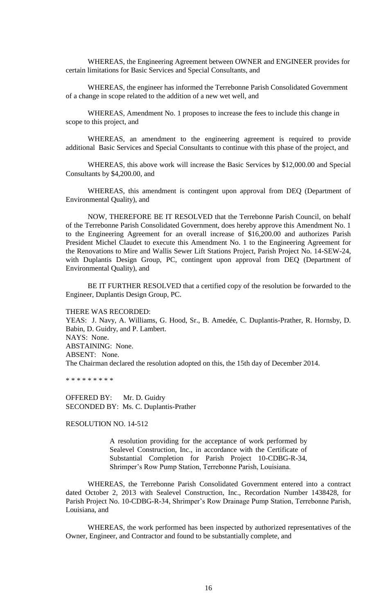WHEREAS, the Engineering Agreement between OWNER and ENGINEER provides for certain limitations for Basic Services and Special Consultants, and

WHEREAS, the engineer has informed the Terrebonne Parish Consolidated Government of a change in scope related to the addition of a new wet well, and

WHEREAS, Amendment No. 1 proposes to increase the fees to include this change in scope to this project, and

WHEREAS, an amendment to the engineering agreement is required to provide additional Basic Services and Special Consultants to continue with this phase of the project, and

WHEREAS, this above work will increase the Basic Services by \$12,000.00 and Special Consultants by \$4,200.00, and

WHEREAS, this amendment is contingent upon approval from DEQ (Department of Environmental Quality), and

NOW, THEREFORE BE IT RESOLVED that the Terrebonne Parish Council, on behalf of the Terrebonne Parish Consolidated Government, does hereby approve this Amendment No. 1 to the Engineering Agreement for an overall increase of \$16,200.00 and authorizes Parish President Michel Claudet to execute this Amendment No. 1 to the Engineering Agreement for the Renovations to Mire and Wallis Sewer Lift Stations Project, Parish Project No. 14-SEW-24, with Duplantis Design Group, PC, contingent upon approval from DEQ (Department of Environmental Quality), and

BE IT FURTHER RESOLVED that a certified copy of the resolution be forwarded to the Engineer, Duplantis Design Group, PC.

THERE WAS RECORDED:

YEAS: J. Navy, A. Williams, G. Hood, Sr., B. Amedée, C. Duplantis-Prather, R. Hornsby, D. Babin, D. Guidry, and P. Lambert. NAYS: None. ABSTAINING: None. ABSENT: None. The Chairman declared the resolution adopted on this, the 15th day of December 2014.

\* \* \* \* \* \* \* \* \*

OFFERED BY: Mr. D. Guidry SECONDED BY: Ms. C. Duplantis-Prather

RESOLUTION NO. 14-512

A resolution providing for the acceptance of work performed by Sealevel Construction, Inc., in accordance with the Certificate of Substantial Completion for Parish Project 10-CDBG-R-34, Shrimper"s Row Pump Station, Terrebonne Parish, Louisiana.

WHEREAS, the Terrebonne Parish Consolidated Government entered into a contract dated October 2, 2013 with Sealevel Construction, Inc., Recordation Number 1438428, for Parish Project No. 10-CDBG-R-34, Shrimper's Row Drainage Pump Station, Terrebonne Parish, Louisiana, and

WHEREAS, the work performed has been inspected by authorized representatives of the Owner, Engineer, and Contractor and found to be substantially complete, and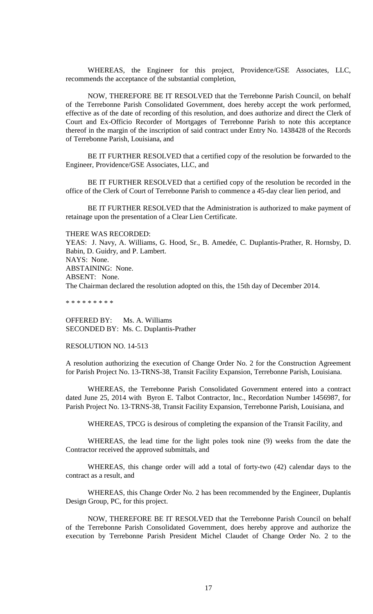WHEREAS, the Engineer for this project, Providence/GSE Associates, LLC, recommends the acceptance of the substantial completion,

NOW, THEREFORE BE IT RESOLVED that the Terrebonne Parish Council, on behalf of the Terrebonne Parish Consolidated Government, does hereby accept the work performed, effective as of the date of recording of this resolution, and does authorize and direct the Clerk of Court and Ex-Officio Recorder of Mortgages of Terrebonne Parish to note this acceptance thereof in the margin of the inscription of said contract under Entry No. 1438428 of the Records of Terrebonne Parish, Louisiana, and

BE IT FURTHER RESOLVED that a certified copy of the resolution be forwarded to the Engineer, Providence/GSE Associates, LLC, and

BE IT FURTHER RESOLVED that a certified copy of the resolution be recorded in the office of the Clerk of Court of Terrebonne Parish to commence a 45-day clear lien period, and

BE IT FURTHER RESOLVED that the Administration is authorized to make payment of retainage upon the presentation of a Clear Lien Certificate.

THERE WAS RECORDED:

YEAS: J. Navy, A. Williams, G. Hood, Sr., B. Amedée, C. Duplantis-Prather, R. Hornsby, D. Babin, D. Guidry, and P. Lambert. NAYS: None. ABSTAINING: None. ABSENT: None. The Chairman declared the resolution adopted on this, the 15th day of December 2014.

\* \* \* \* \* \* \* \* \*

OFFERED BY: Ms. A. Williams SECONDED BY: Ms. C. Duplantis-Prather

## RESOLUTION NO. 14-513

A resolution authorizing the execution of Change Order No. 2 for the Construction Agreement for Parish Project No. 13-TRNS-38, Transit Facility Expansion, Terrebonne Parish, Louisiana.

WHEREAS, the Terrebonne Parish Consolidated Government entered into a contract dated June 25, 2014 with Byron E. Talbot Contractor, Inc., Recordation Number 1456987, for Parish Project No. 13-TRNS-38, Transit Facility Expansion, Terrebonne Parish, Louisiana, and

WHEREAS, TPCG is desirous of completing the expansion of the Transit Facility, and

WHEREAS, the lead time for the light poles took nine (9) weeks from the date the Contractor received the approved submittals, and

WHEREAS, this change order will add a total of forty-two (42) calendar days to the contract as a result, and

WHEREAS, this Change Order No. 2 has been recommended by the Engineer, Duplantis Design Group, PC, for this project.

NOW, THEREFORE BE IT RESOLVED that the Terrebonne Parish Council on behalf of the Terrebonne Parish Consolidated Government, does hereby approve and authorize the execution by Terrebonne Parish President Michel Claudet of Change Order No. 2 to the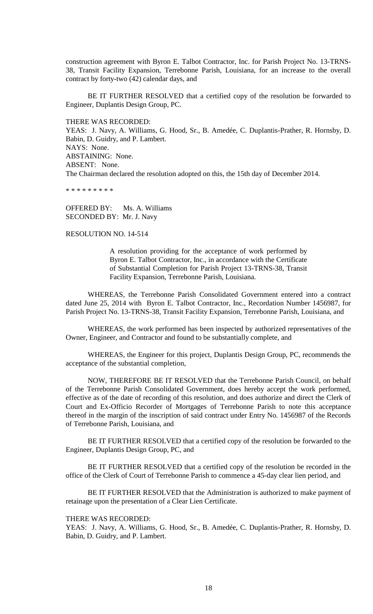construction agreement with Byron E. Talbot Contractor, Inc. for Parish Project No. 13-TRNS-38, Transit Facility Expansion, Terrebonne Parish, Louisiana, for an increase to the overall contract by forty-two (42) calendar days, and

BE IT FURTHER RESOLVED that a certified copy of the resolution be forwarded to Engineer, Duplantis Design Group, PC.

THERE WAS RECORDED:

YEAS: J. Navy, A. Williams, G. Hood, Sr., B. Amedée, C. Duplantis-Prather, R. Hornsby, D. Babin, D. Guidry, and P. Lambert. NAYS: None. ABSTAINING: None. ABSENT: None. The Chairman declared the resolution adopted on this, the 15th day of December 2014.

\* \* \* \* \* \* \* \*

OFFERED BY: Ms. A. Williams SECONDED BY: Mr. J. Navy

## RESOLUTION NO. 14-514

A resolution providing for the acceptance of work performed by Byron E. Talbot Contractor, Inc., in accordance with the Certificate of Substantial Completion for Parish Project 13-TRNS-38, Transit Facility Expansion, Terrebonne Parish, Louisiana.

WHEREAS, the Terrebonne Parish Consolidated Government entered into a contract dated June 25, 2014 with Byron E. Talbot Contractor, Inc., Recordation Number 1456987, for Parish Project No. 13-TRNS-38, Transit Facility Expansion, Terrebonne Parish, Louisiana, and

WHEREAS, the work performed has been inspected by authorized representatives of the Owner, Engineer, and Contractor and found to be substantially complete, and

WHEREAS, the Engineer for this project, Duplantis Design Group, PC, recommends the acceptance of the substantial completion,

NOW, THEREFORE BE IT RESOLVED that the Terrebonne Parish Council, on behalf of the Terrebonne Parish Consolidated Government, does hereby accept the work performed, effective as of the date of recording of this resolution, and does authorize and direct the Clerk of Court and Ex-Officio Recorder of Mortgages of Terrebonne Parish to note this acceptance thereof in the margin of the inscription of said contract under Entry No. 1456987 of the Records of Terrebonne Parish, Louisiana, and

BE IT FURTHER RESOLVED that a certified copy of the resolution be forwarded to the Engineer, Duplantis Design Group, PC, and

BE IT FURTHER RESOLVED that a certified copy of the resolution be recorded in the office of the Clerk of Court of Terrebonne Parish to commence a 45-day clear lien period, and

BE IT FURTHER RESOLVED that the Administration is authorized to make payment of retainage upon the presentation of a Clear Lien Certificate.

### THERE WAS RECORDED:

YEAS: J. Navy, A. Williams, G. Hood, Sr., B. Amedée, C. Duplantis-Prather, R. Hornsby, D. Babin, D. Guidry, and P. Lambert.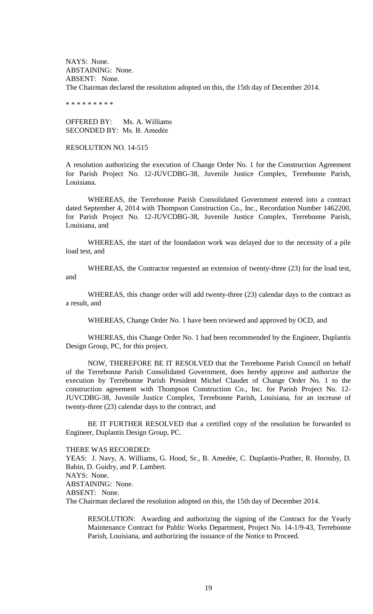NAYS: None. ABSTAINING: None. ABSENT: None. The Chairman declared the resolution adopted on this, the 15th day of December 2014.

\* \* \* \* \* \* \* \* \*

OFFERED BY: Ms. A. Williams SECONDED BY: Ms. B. Amedẻe

# RESOLUTION NO. 14-515

A resolution authorizing the execution of Change Order No. 1 for the Construction Agreement for Parish Project No. 12-JUVCDBG-38, Juvenile Justice Complex, Terrebonne Parish, Louisiana.

WHEREAS, the Terrebonne Parish Consolidated Government entered into a contract dated September 4, 2014 with Thompson Construction Co., Inc., Recordation Number 1462200, for Parish Project No. 12-JUVCDBG-38, Juvenile Justice Complex, Terrebonne Parish, Louisiana, and

WHEREAS, the start of the foundation work was delayed due to the necessity of a pile load test, and

WHEREAS, the Contractor requested an extension of twenty-three (23) for the load test, and

WHEREAS, this change order will add twenty-three (23) calendar days to the contract as a result, and

WHEREAS, Change Order No. 1 have been reviewed and approved by OCD, and

WHEREAS, this Change Order No. 1 had been recommended by the Engineer, Duplantis Design Group, PC, for this project.

NOW, THEREFORE BE IT RESOLVED that the Terrebonne Parish Council on behalf of the Terrebonne Parish Consolidated Government, does hereby approve and authorize the execution by Terrebonne Parish President Michel Claudet of Change Order No. 1 to the construction agreement with Thompson Construction Co., Inc. for Parish Project No. 12- JUVCDBG-38, Juvenile Justice Complex, Terrebonne Parish, Louisiana, for an increase of twenty-three (23) calendar days to the contract, and

BE IT FURTHER RESOLVED that a certified copy of the resolution be forwarded to Engineer, Duplantis Design Group, PC.

### THERE WAS RECORDED:

YEAS: J. Navy, A. Williams, G. Hood, Sr., B. Amedée, C. Duplantis-Prather, R. Hornsby, D. Babin, D. Guidry, and P. Lambert. NAYS: None. ABSTAINING: None. ABSENT: None. The Chairman declared the resolution adopted on this, the 15th day of December 2014.

RESOLUTION: Awarding and authorizing the signing of the Contract for the Yearly Maintenance Contract for Public Works Department, Project No. 14-1/9-43, Terrebonne Parish, Louisiana, and authorizing the issuance of the Notice to Proceed.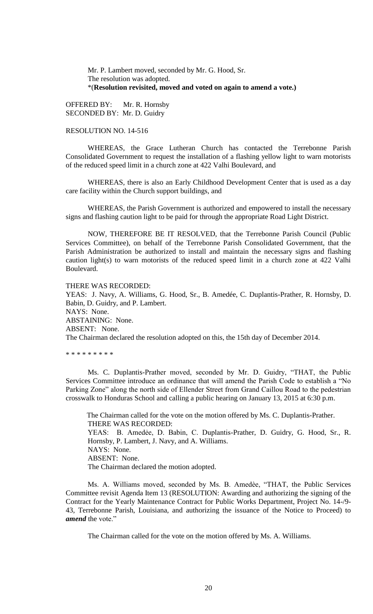Mr. P. Lambert moved, seconded by Mr. G. Hood, Sr. The resolution was adopted. \*(**Resolution revisited, moved and voted on again to amend a vote.)**

OFFERED BY: Mr. R. Hornsby SECONDED BY: Mr. D. Guidry

# RESOLUTION NO. 14-516

WHEREAS, the Grace Lutheran Church has contacted the Terrebonne Parish Consolidated Government to request the installation of a flashing yellow light to warn motorists of the reduced speed limit in a church zone at 422 Valhi Boulevard, and

WHEREAS, there is also an Early Childhood Development Center that is used as a day care facility within the Church support buildings, and

WHEREAS, the Parish Government is authorized and empowered to install the necessary signs and flashing caution light to be paid for through the appropriate Road Light District.

NOW, THEREFORE BE IT RESOLVED, that the Terrebonne Parish Council (Public Services Committee), on behalf of the Terrebonne Parish Consolidated Government, that the Parish Administration be authorized to install and maintain the necessary signs and flashing caution light(s) to warn motorists of the reduced speed limit in a church zone at 422 Valhi Boulevard.

# THERE WAS RECORDED:

YEAS: J. Navy, A. Williams, G. Hood, Sr., B. Amedée, C. Duplantis-Prather, R. Hornsby, D. Babin, D. Guidry, and P. Lambert. NAYS: None. ABSTAINING: None. ABSENT: None. The Chairman declared the resolution adopted on this, the 15th day of December 2014.

\* \* \* \* \* \* \* \* \*

Ms. C. Duplantis-Prather moved, seconded by Mr. D. Guidry, "THAT, the Public Services Committee introduce an ordinance that will amend the Parish Code to establish a "No Parking Zone" along the north side of Ellender Street from Grand Caillou Road to the pedestrian crosswalk to Honduras School and calling a public hearing on January 13, 2015 at 6:30 p.m.

The Chairman called for the vote on the motion offered by Ms. C. Duplantis-Prather. THERE WAS RECORDED: YEAS: B. Amedẻe, D. Babin, C. Duplantis-Prather, D. Guidry, G. Hood, Sr., R. Hornsby, P. Lambert, J. Navy, and A. Williams. NAYS: None. ABSENT: None. The Chairman declared the motion adopted.

Ms. A. Williams moved, seconded by Ms. B. Amedèe, "THAT, the Public Services Committee revisit Agenda Item 13 (RESOLUTION: Awarding and authorizing the signing of the Contract for the Yearly Maintenance Contract for Public Works Department, Project No. 14-/9- 43, Terrebonne Parish, Louisiana, and authorizing the issuance of the Notice to Proceed) to *amend* the vote."

The Chairman called for the vote on the motion offered by Ms. A. Williams.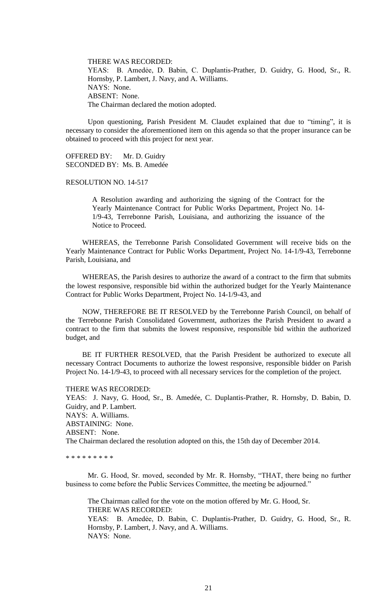THERE WAS RECORDED: YEAS: B. Amedẻe, D. Babin, C. Duplantis-Prather, D. Guidry, G. Hood, Sr., R. Hornsby, P. Lambert, J. Navy, and A. Williams. NAYS: None. ABSENT: None. The Chairman declared the motion adopted.

Upon questioning, Parish President M. Claudet explained that due to "timing", it is necessary to consider the aforementioned item on this agenda so that the proper insurance can be obtained to proceed with this project for next year.

OFFERED BY: Mr. D. Guidry SECONDED BY: Ms. B. Amedée

## RESOLUTION NO. 14-517

A Resolution awarding and authorizing the signing of the Contract for the Yearly Maintenance Contract for Public Works Department, Project No. 14- 1/9-43, Terrebonne Parish, Louisiana, and authorizing the issuance of the Notice to Proceed.

WHEREAS, the Terrebonne Parish Consolidated Government will receive bids on the Yearly Maintenance Contract for Public Works Department, Project No. 14-1/9-43, Terrebonne Parish, Louisiana, and

WHEREAS, the Parish desires to authorize the award of a contract to the firm that submits the lowest responsive, responsible bid within the authorized budget for the Yearly Maintenance Contract for Public Works Department, Project No. 14-1/9-43, and

NOW, THEREFORE BE IT RESOLVED by the Terrebonne Parish Council, on behalf of the Terrebonne Parish Consolidated Government, authorizes the Parish President to award a contract to the firm that submits the lowest responsive, responsible bid within the authorized budget, and

BE IT FURTHER RESOLVED, that the Parish President be authorized to execute all necessary Contract Documents to authorize the lowest responsive, responsible bidder on Parish Project No. 14-1/9-43, to proceed with all necessary services for the completion of the project.

### THERE WAS RECORDED:

YEAS: J. Navy, G. Hood, Sr., B. Amedée, C. Duplantis-Prather, R. Hornsby, D. Babin, D. Guidry, and P. Lambert. NAYS: A. Williams. ABSTAINING: None. ABSENT: None. The Chairman declared the resolution adopted on this, the 15th day of December 2014.

\* \* \* \* \* \* \* \* \*

Mr. G. Hood, Sr. moved, seconded by Mr. R. Hornsby, "THAT, there being no further business to come before the Public Services Committee, the meeting be adjourned."

The Chairman called for the vote on the motion offered by Mr. G. Hood, Sr. THERE WAS RECORDED:

YEAS: B. Amedẻe, D. Babin, C. Duplantis-Prather, D. Guidry, G. Hood, Sr., R. Hornsby, P. Lambert, J. Navy, and A. Williams. NAYS: None.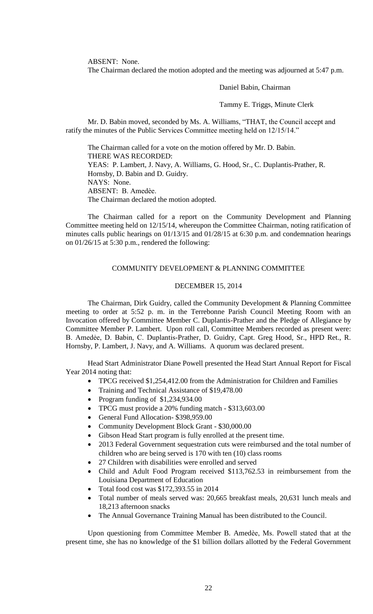ABSENT: None.

The Chairman declared the motion adopted and the meeting was adjourned at 5:47 p.m.

Daniel Babin, Chairman

Tammy E. Triggs, Minute Clerk

Mr. D. Babin moved, seconded by Ms. A. Williams, "THAT, the Council accept and ratify the minutes of the Public Services Committee meeting held on 12/15/14."

The Chairman called for a vote on the motion offered by Mr. D. Babin. THERE WAS RECORDED: YEAS: P. Lambert, J. Navy, A. Williams, G. Hood, Sr., C. Duplantis-Prather, R. Hornsby, D. Babin and D. Guidry. NAYS: None. ABSENT: B. Amedѐe. The Chairman declared the motion adopted.

The Chairman called for a report on the Community Development and Planning Committee meeting held on 12/15/14, whereupon the Committee Chairman, noting ratification of minutes calls public hearings on 01/13/15 and 01/28/15 at 6:30 p.m. and condemnation hearings on 01/26/15 at 5:30 p.m., rendered the following:

# COMMUNITY DEVELOPMENT & PLANNING COMMITTEE

### DECEMBER 15, 2014

The Chairman, Dirk Guidry, called the Community Development & Planning Committee meeting to order at 5:52 p. m. in the Terrebonne Parish Council Meeting Room with an Invocation offered by Committee Member C. Duplantis-Prather and the Pledge of Allegiance by Committee Member P. Lambert. Upon roll call, Committee Members recorded as present were: B. Amedẻe, D. Babin, C. Duplantis-Prather, D. Guidry, Capt. Greg Hood, Sr., HPD Ret., R. Hornsby, P. Lambert, J. Navy, and A. Williams. A quorum was declared present.

Head Start Administrator Diane Powell presented the Head Start Annual Report for Fiscal Year 2014 noting that:

- TPCG received \$1,254,412.00 from the Administration for Children and Families
- Training and Technical Assistance of \$19,478.00
- Program funding of  $$1,234,934.00$
- TPCG must provide a 20% funding match \$313,603.00
- General Fund Allocation- \$398,959.00
- Community Development Block Grant \$30,000.00
- Gibson Head Start program is fully enrolled at the present time.
- 2013 Federal Government sequestration cuts were reimbursed and the total number of children who are being served is 170 with ten (10) class rooms
- 27 Children with disabilities were enrolled and served
- Child and Adult Food Program received \$113,762.53 in reimbursement from the Louisiana Department of Education
- Total food cost was \$172,393.55 in 2014
- Total number of meals served was: 20,665 breakfast meals, 20,631 lunch meals and 18,213 afternoon snacks
- The Annual Governance Training Manual has been distributed to the Council.

Upon questioning from Committee Member B. Amedѐe, Ms. Powell stated that at the present time, she has no knowledge of the \$1 billion dollars allotted by the Federal Government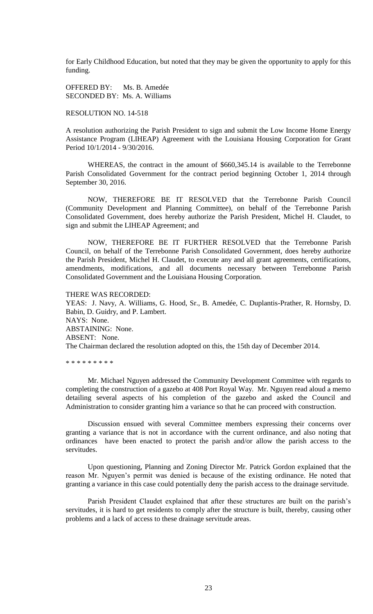for Early Childhood Education, but noted that they may be given the opportunity to apply for this funding.

OFFERED BY: Ms. B. Amedée SECONDED BY: Ms. A. Williams

## RESOLUTION NO. 14-518

A resolution authorizing the Parish President to sign and submit the Low Income Home Energy Assistance Program (LIHEAP) Agreement with the Louisiana Housing Corporation for Grant Period 10/1/2014 - 9/30/2016.

WHEREAS, the contract in the amount of \$660,345.14 is available to the Terrebonne Parish Consolidated Government for the contract period beginning October 1, 2014 through September 30, 2016.

NOW, THEREFORE BE IT RESOLVED that the Terrebonne Parish Council (Community Development and Planning Committee), on behalf of the Terrebonne Parish Consolidated Government, does hereby authorize the Parish President, Michel H. Claudet, to sign and submit the LIHEAP Agreement; and

NOW, THEREFORE BE IT FURTHER RESOLVED that the Terrebonne Parish Council, on behalf of the Terrebonne Parish Consolidated Government, does hereby authorize the Parish President, Michel H. Claudet, to execute any and all grant agreements, certifications, amendments, modifications, and all documents necessary between Terrebonne Parish Consolidated Government and the Louisiana Housing Corporation.

THERE WAS RECORDED: YEAS: J. Navy, A. Williams, G. Hood, Sr., B. Amedée, C. Duplantis-Prather, R. Hornsby, D. Babin, D. Guidry, and P. Lambert. NAYS: None. ABSTAINING: None. ABSENT: None. The Chairman declared the resolution adopted on this, the 15th day of December 2014.

\* \* \* \* \* \* \* \* \*

Mr. Michael Nguyen addressed the Community Development Committee with regards to completing the construction of a gazebo at 408 Port Royal Way. Mr. Nguyen read aloud a memo detailing several aspects of his completion of the gazebo and asked the Council and Administration to consider granting him a variance so that he can proceed with construction.

Discussion ensued with several Committee members expressing their concerns over granting a variance that is not in accordance with the current ordinance, and also noting that ordinances have been enacted to protect the parish and/or allow the parish access to the servitudes.

Upon questioning, Planning and Zoning Director Mr. Patrick Gordon explained that the reason Mr. Nguyen's permit was denied is because of the existing ordinance. He noted that granting a variance in this case could potentially deny the parish access to the drainage servitude.

Parish President Claudet explained that after these structures are built on the parish"s servitudes, it is hard to get residents to comply after the structure is built, thereby, causing other problems and a lack of access to these drainage servitude areas.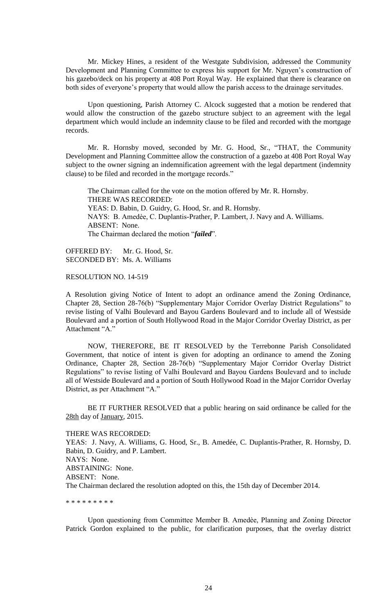Mr. Mickey Hines, a resident of the Westgate Subdivision, addressed the Community Development and Planning Committee to express his support for Mr. Nguyen's construction of his gazebo/deck on his property at 408 Port Royal Way. He explained that there is clearance on both sides of everyone's property that would allow the parish access to the drainage servitudes.

Upon questioning, Parish Attorney C. Alcock suggested that a motion be rendered that would allow the construction of the gazebo structure subject to an agreement with the legal department which would include an indemnity clause to be filed and recorded with the mortgage records.

Mr. R. Hornsby moved, seconded by Mr. G. Hood, Sr., "THAT, the Community Development and Planning Committee allow the construction of a gazebo at 408 Port Royal Way subject to the owner signing an indemnification agreement with the legal department (indemnity clause) to be filed and recorded in the mortgage records."

The Chairman called for the vote on the motion offered by Mr. R. Hornsby. THERE WAS RECORDED: YEAS: D. Babin, D. Guidry, G. Hood, Sr. and R. Hornsby. NAYS: B. Amedѐe, C. Duplantis-Prather, P. Lambert, J. Navy and A. Williams. ABSENT: None. The Chairman declared the motion "*failed*".

OFFERED BY: Mr. G. Hood, Sr. SECONDED BY: Ms. A. Williams

RESOLUTION NO. 14-519

A Resolution giving Notice of Intent to adopt an ordinance amend the Zoning Ordinance, Chapter 28, Section 28-76(b) "Supplementary Major Corridor Overlay District Regulations" to revise listing of Valhi Boulevard and Bayou Gardens Boulevard and to include all of Westside Boulevard and a portion of South Hollywood Road in the Major Corridor Overlay District, as per Attachment "A."

NOW, THEREFORE, BE IT RESOLVED by the Terrebonne Parish Consolidated Government, that notice of intent is given for adopting an ordinance to amend the Zoning Ordinance, Chapter 28, Section 28-76(b) "Supplementary Major Corridor Overlay District Regulations" to revise listing of Valhi Boulevard and Bayou Gardens Boulevard and to include all of Westside Boulevard and a portion of South Hollywood Road in the Major Corridor Overlay District, as per Attachment "A."

BE IT FURTHER RESOLVED that a public hearing on said ordinance be called for the 28th day of January, 2015.

THERE WAS RECORDED: YEAS: J. Navy, A. Williams, G. Hood, Sr., B. Amedée, C. Duplantis-Prather, R. Hornsby, D. Babin, D. Guidry, and P. Lambert. NAYS: None. ABSTAINING: None. ABSENT: None. The Chairman declared the resolution adopted on this, the 15th day of December 2014.

\* \* \* \* \* \* \* \* \*

Upon questioning from Committee Member B. Amedѐe, Planning and Zoning Director Patrick Gordon explained to the public, for clarification purposes, that the overlay district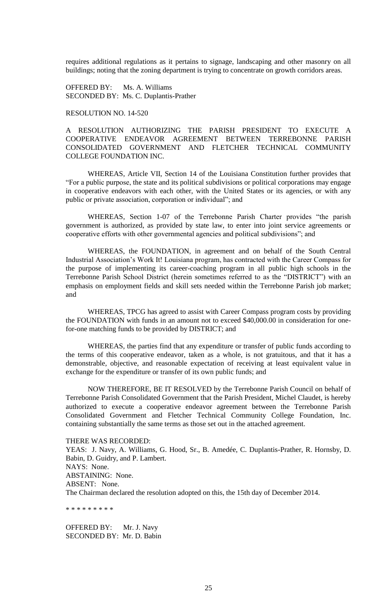requires additional regulations as it pertains to signage, landscaping and other masonry on all buildings; noting that the zoning department is trying to concentrate on growth corridors areas.

OFFERED BY: Ms. A. Williams SECONDED BY: Ms. C. Duplantis-Prather

## RESOLUTION NO. 14-520

A RESOLUTION AUTHORIZING THE PARISH PRESIDENT TO EXECUTE A COOPERATIVE ENDEAVOR AGREEMENT BETWEEN TERREBONNE PARISH CONSOLIDATED GOVERNMENT AND FLETCHER TECHNICAL COMMUNITY COLLEGE FOUNDATION INC.

WHEREAS, Article VII, Section 14 of the Louisiana Constitution further provides that "For a public purpose, the state and its political subdivisions or political corporations may engage in cooperative endeavors with each other, with the United States or its agencies, or with any public or private association, corporation or individual"; and

WHEREAS, Section 1-07 of the Terrebonne Parish Charter provides "the parish government is authorized, as provided by state law, to enter into joint service agreements or cooperative efforts with other governmental agencies and political subdivisions"; and

WHEREAS, the FOUNDATION, in agreement and on behalf of the South Central Industrial Association"s Work It! Louisiana program, has contracted with the Career Compass for the purpose of implementing its career-coaching program in all public high schools in the Terrebonne Parish School District (herein sometimes referred to as the "DISTRICT") with an emphasis on employment fields and skill sets needed within the Terrebonne Parish job market; and

WHEREAS, TPCG has agreed to assist with Career Compass program costs by providing the FOUNDATION with funds in an amount not to exceed \$40,000.00 in consideration for onefor-one matching funds to be provided by DISTRICT; and

WHEREAS, the parties find that any expenditure or transfer of public funds according to the terms of this cooperative endeavor, taken as a whole, is not gratuitous, and that it has a demonstrable, objective, and reasonable expectation of receiving at least equivalent value in exchange for the expenditure or transfer of its own public funds; and

NOW THEREFORE, BE IT RESOLVED by the Terrebonne Parish Council on behalf of Terrebonne Parish Consolidated Government that the Parish President, Michel Claudet, is hereby authorized to execute a cooperative endeavor agreement between the Terrebonne Parish Consolidated Government and Fletcher Technical Community College Foundation, Inc. containing substantially the same terms as those set out in the attached agreement.

### THERE WAS RECORDED:

YEAS: J. Navy, A. Williams, G. Hood, Sr., B. Amedée, C. Duplantis-Prather, R. Hornsby, D. Babin, D. Guidry, and P. Lambert. NAYS: None. ABSTAINING: None. ABSENT: None. The Chairman declared the resolution adopted on this, the 15th day of December 2014.

\* \* \* \* \* \* \* \* \*

OFFERED BY: Mr. J. Navy SECONDED BY: Mr. D. Babin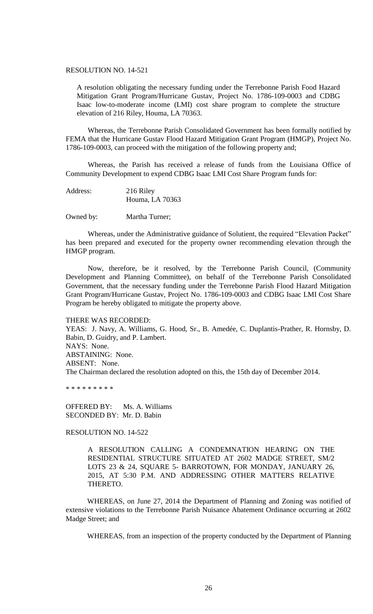## RESOLUTION NO. 14-521

A resolution obligating the necessary funding under the Terrebonne Parish Food Hazard Mitigation Grant Program/Hurricane Gustav, Project No. 1786-109-0003 and CDBG Isaac low-to-moderate income (LMI) cost share program to complete the structure elevation of 216 Riley, Houma, LA 70363.

Whereas, the Terrebonne Parish Consolidated Government has been formally notified by FEMA that the Hurricane Gustav Flood Hazard Mitigation Grant Program (HMGP), Project No. 1786-109-0003, can proceed with the mitigation of the following property and;

Whereas, the Parish has received a release of funds from the Louisiana Office of Community Development to expend CDBG Isaac LMI Cost Share Program funds for:

| Address: | 216 Riley       |
|----------|-----------------|
|          | Houma, LA 70363 |

Owned by: Martha Turner;

Whereas, under the Administrative guidance of Solutient, the required "Elevation Packet" has been prepared and executed for the property owner recommending elevation through the HMGP program.

Now, therefore, be it resolved, by the Terrebonne Parish Council, (Community Development and Planning Committee), on behalf of the Terrebonne Parish Consolidated Government, that the necessary funding under the Terrebonne Parish Flood Hazard Mitigation Grant Program/Hurricane Gustav, Project No. 1786-109-0003 and CDBG Isaac LMI Cost Share Program be hereby obligated to mitigate the property above.

#### THERE WAS RECORDED:

YEAS: J. Navy, A. Williams, G. Hood, Sr., B. Amedée, C. Duplantis-Prather, R. Hornsby, D. Babin, D. Guidry, and P. Lambert. NAYS: None. ABSTAINING: None. ABSENT: None. The Chairman declared the resolution adopted on this, the 15th day of December 2014.

\* \* \* \* \* \* \* \* \*

OFFERED BY: Ms. A. Williams SECONDED BY: Mr. D. Babin

# RESOLUTION NO. 14-522

A RESOLUTION CALLING A CONDEMNATION HEARING ON THE RESIDENTIAL STRUCTURE SITUATED AT 2602 MADGE STREET, SM/2 LOTS 23 & 24, SQUARE 5- BARROTOWN, FOR MONDAY, JANUARY 26, 2015, AT 5:30 P.M. AND ADDRESSING OTHER MATTERS RELATIVE THERETO.

WHEREAS, on June 27, 2014 the Department of Planning and Zoning was notified of extensive violations to the Terrebonne Parish Nuisance Abatement Ordinance occurring at 2602 Madge Street; and

WHEREAS, from an inspection of the property conducted by the Department of Planning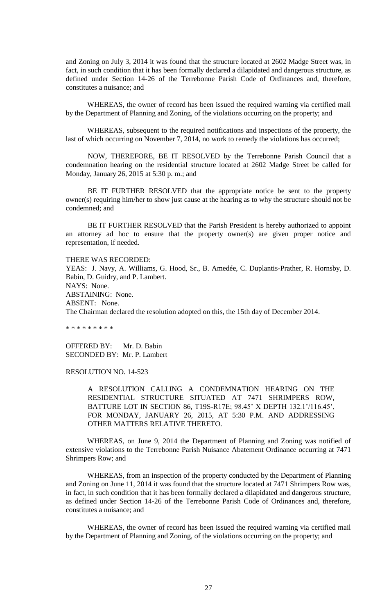and Zoning on July 3, 2014 it was found that the structure located at 2602 Madge Street was, in fact, in such condition that it has been formally declared a dilapidated and dangerous structure, as defined under Section 14-26 of the Terrebonne Parish Code of Ordinances and, therefore, constitutes a nuisance; and

WHEREAS, the owner of record has been issued the required warning via certified mail by the Department of Planning and Zoning, of the violations occurring on the property; and

WHEREAS, subsequent to the required notifications and inspections of the property, the last of which occurring on November 7, 2014, no work to remedy the violations has occurred;

NOW, THEREFORE, BE IT RESOLVED by the Terrebonne Parish Council that a condemnation hearing on the residential structure located at 2602 Madge Street be called for Monday, January 26, 2015 at 5:30 p. m.; and

BE IT FURTHER RESOLVED that the appropriate notice be sent to the property owner(s) requiring him/her to show just cause at the hearing as to why the structure should not be condemned; and

BE IT FURTHER RESOLVED that the Parish President is hereby authorized to appoint an attorney ad hoc to ensure that the property owner(s) are given proper notice and representation, if needed.

THERE WAS RECORDED:

YEAS: J. Navy, A. Williams, G. Hood, Sr., B. Amedée, C. Duplantis-Prather, R. Hornsby, D. Babin, D. Guidry, and P. Lambert. NAYS: None. ABSTAINING: None. ABSENT: None. The Chairman declared the resolution adopted on this, the 15th day of December 2014.

\* \* \* \* \* \* \* \* \*

OFFERED BY: Mr. D. Babin SECONDED BY: Mr. P. Lambert

RESOLUTION NO. 14-523

A RESOLUTION CALLING A CONDEMNATION HEARING ON THE RESIDENTIAL STRUCTURE SITUATED AT 7471 SHRIMPERS ROW, BATTURE LOT IN SECTION 86, T19S-R17E; 98.45" X DEPTH 132.1"/116.45", FOR MONDAY, JANUARY 26, 2015, AT 5:30 P.M. AND ADDRESSING OTHER MATTERS RELATIVE THERETO.

WHEREAS, on June 9, 2014 the Department of Planning and Zoning was notified of extensive violations to the Terrebonne Parish Nuisance Abatement Ordinance occurring at 7471 Shrimpers Row; and

WHEREAS, from an inspection of the property conducted by the Department of Planning and Zoning on June 11, 2014 it was found that the structure located at 7471 Shrimpers Row was, in fact, in such condition that it has been formally declared a dilapidated and dangerous structure, as defined under Section 14-26 of the Terrebonne Parish Code of Ordinances and, therefore, constitutes a nuisance; and

WHEREAS, the owner of record has been issued the required warning via certified mail by the Department of Planning and Zoning, of the violations occurring on the property; and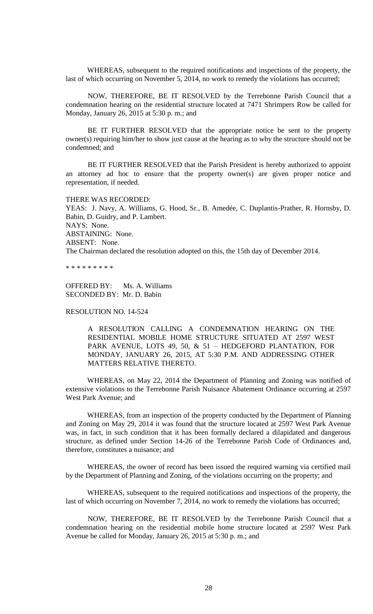WHEREAS, subsequent to the required notifications and inspections of the property, the last of which occurring on November 5, 2014, no work to remedy the violations has occurred;

NOW, THEREFORE, BE IT RESOLVED by the Terrebonne Parish Council that a condemnation hearing on the residential structure located at 7471 Shrimpers Row be called for Monday, January 26, 2015 at 5:30 p. m.; and

BE IT FURTHER RESOLVED that the appropriate notice be sent to the property owner(s) requiring him/her to show just cause at the hearing as to why the structure should not be condemned; and

BE IT FURTHER RESOLVED that the Parish President is hereby authorized to appoint an attorney ad hoc to ensure that the property owner(s) are given proper notice and representation, if needed.

# THERE WAS RECORDED:

YEAS: J. Navy, A. Williams, G. Hood, Sr., B. Amedée, C. Duplantis-Prather, R. Hornsby, D. Babin, D. Guidry, and P. Lambert. NAYS: None. ABSTAINING: None. ABSENT: None. The Chairman declared the resolution adopted on this, the 15th day of December 2014.

\* \* \* \* \* \* \* \* \*

OFFERED BY: Ms. A. Williams SECONDED BY: Mr. D. Babin

# RESOLUTION NO. 14-524

A RESOLUTION CALLING A CONDEMNATION HEARING ON THE RESIDENTIAL MOBILE HOME STRUCTURE SITUATED AT 2597 WEST PARK AVENUE, LOTS 49, 50, & 51 – HEDGEFORD PLANTATION, FOR MONDAY, JANUARY 26, 2015, AT 5:30 P.M. AND ADDRESSING OTHER MATTERS RELATIVE THERETO.

WHEREAS, on May 22, 2014 the Department of Planning and Zoning was notified of extensive violations to the Terrebonne Parish Nuisance Abatement Ordinance occurring at 2597 West Park Avenue; and

WHEREAS, from an inspection of the property conducted by the Department of Planning and Zoning on May 29, 2014 it was found that the structure located at 2597 West Park Avenue was, in fact, in such condition that it has been formally declared a dilapidated and dangerous structure, as defined under Section 14-26 of the Terrebonne Parish Code of Ordinances and, therefore, constitutes a nuisance; and

WHEREAS, the owner of record has been issued the required warning via certified mail by the Department of Planning and Zoning, of the violations occurring on the property; and

WHEREAS, subsequent to the required notifications and inspections of the property, the last of which occurring on November 7, 2014, no work to remedy the violations has occurred;

NOW, THEREFORE, BE IT RESOLVED by the Terrebonne Parish Council that a condemnation hearing on the residential mobile home structure located at 2597 West Park Avenue be called for Monday, January 26, 2015 at 5:30 p. m.; and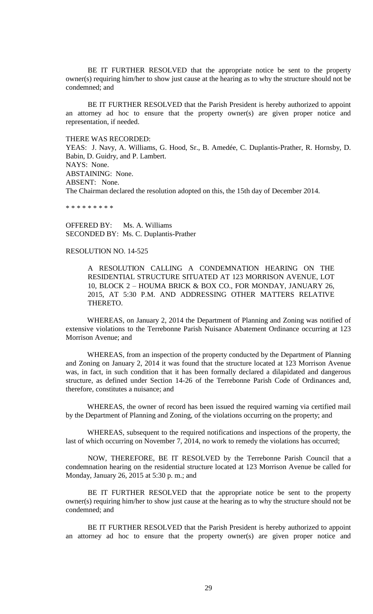BE IT FURTHER RESOLVED that the appropriate notice be sent to the property owner(s) requiring him/her to show just cause at the hearing as to why the structure should not be condemned; and

BE IT FURTHER RESOLVED that the Parish President is hereby authorized to appoint an attorney ad hoc to ensure that the property owner(s) are given proper notice and representation, if needed.

THERE WAS RECORDED:

YEAS: J. Navy, A. Williams, G. Hood, Sr., B. Amedée, C. Duplantis-Prather, R. Hornsby, D. Babin, D. Guidry, and P. Lambert. NAYS: None. ABSTAINING: None. ABSENT: None. The Chairman declared the resolution adopted on this, the 15th day of December 2014.

\* \* \* \* \* \* \* \*

OFFERED BY: Ms. A. Williams SECONDED BY: Ms. C. Duplantis-Prather

## RESOLUTION NO. 14-525

A RESOLUTION CALLING A CONDEMNATION HEARING ON THE RESIDENTIAL STRUCTURE SITUATED AT 123 MORRISON AVENUE, LOT 10, BLOCK 2 – HOUMA BRICK & BOX CO., FOR MONDAY, JANUARY 26, 2015, AT 5:30 P.M. AND ADDRESSING OTHER MATTERS RELATIVE THERETO.

WHEREAS, on January 2, 2014 the Department of Planning and Zoning was notified of extensive violations to the Terrebonne Parish Nuisance Abatement Ordinance occurring at 123 Morrison Avenue; and

WHEREAS, from an inspection of the property conducted by the Department of Planning and Zoning on January 2, 2014 it was found that the structure located at 123 Morrison Avenue was, in fact, in such condition that it has been formally declared a dilapidated and dangerous structure, as defined under Section 14-26 of the Terrebonne Parish Code of Ordinances and, therefore, constitutes a nuisance; and

WHEREAS, the owner of record has been issued the required warning via certified mail by the Department of Planning and Zoning, of the violations occurring on the property; and

WHEREAS, subsequent to the required notifications and inspections of the property, the last of which occurring on November 7, 2014, no work to remedy the violations has occurred;

NOW, THEREFORE, BE IT RESOLVED by the Terrebonne Parish Council that a condemnation hearing on the residential structure located at 123 Morrison Avenue be called for Monday, January 26, 2015 at 5:30 p. m.; and

BE IT FURTHER RESOLVED that the appropriate notice be sent to the property owner(s) requiring him/her to show just cause at the hearing as to why the structure should not be condemned; and

BE IT FURTHER RESOLVED that the Parish President is hereby authorized to appoint an attorney ad hoc to ensure that the property owner(s) are given proper notice and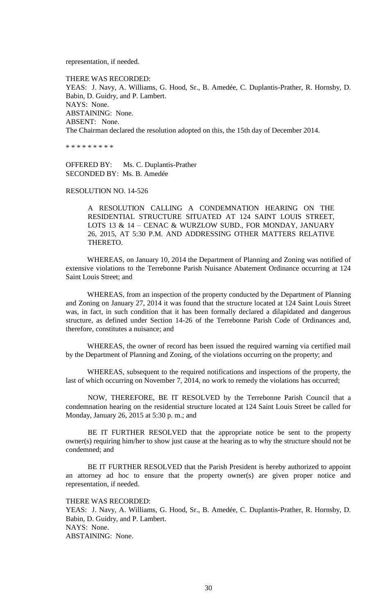representation, if needed.

THERE WAS RECORDED: YEAS: J. Navy, A. Williams, G. Hood, Sr., B. Amedée, C. Duplantis-Prather, R. Hornsby, D. Babin, D. Guidry, and P. Lambert. NAYS: None. ABSTAINING: None. ABSENT: None. The Chairman declared the resolution adopted on this, the 15th day of December 2014.

\* \* \* \* \* \* \* \* \*

OFFERED BY: Ms. C. Duplantis-Prather SECONDED BY: Ms. B. Amedée

RESOLUTION NO. 14-526

A RESOLUTION CALLING A CONDEMNATION HEARING ON THE RESIDENTIAL STRUCTURE SITUATED AT 124 SAINT LOUIS STREET, LOTS 13 & 14 – CENAC & WURZLOW SUBD., FOR MONDAY, JANUARY 26, 2015, AT 5:30 P.M. AND ADDRESSING OTHER MATTERS RELATIVE THERETO.

WHEREAS, on January 10, 2014 the Department of Planning and Zoning was notified of extensive violations to the Terrebonne Parish Nuisance Abatement Ordinance occurring at 124 Saint Louis Street; and

WHEREAS, from an inspection of the property conducted by the Department of Planning and Zoning on January 27, 2014 it was found that the structure located at 124 Saint Louis Street was, in fact, in such condition that it has been formally declared a dilapidated and dangerous structure, as defined under Section 14-26 of the Terrebonne Parish Code of Ordinances and, therefore, constitutes a nuisance; and

WHEREAS, the owner of record has been issued the required warning via certified mail by the Department of Planning and Zoning, of the violations occurring on the property; and

WHEREAS, subsequent to the required notifications and inspections of the property, the last of which occurring on November 7, 2014, no work to remedy the violations has occurred;

NOW, THEREFORE, BE IT RESOLVED by the Terrebonne Parish Council that a condemnation hearing on the residential structure located at 124 Saint Louis Street be called for Monday, January 26, 2015 at 5:30 p. m.; and

BE IT FURTHER RESOLVED that the appropriate notice be sent to the property owner(s) requiring him/her to show just cause at the hearing as to why the structure should not be condemned; and

BE IT FURTHER RESOLVED that the Parish President is hereby authorized to appoint an attorney ad hoc to ensure that the property owner(s) are given proper notice and representation, if needed.

THERE WAS RECORDED:

YEAS: J. Navy, A. Williams, G. Hood, Sr., B. Amedée, C. Duplantis-Prather, R. Hornsby, D. Babin, D. Guidry, and P. Lambert. NAYS: None. ABSTAINING: None.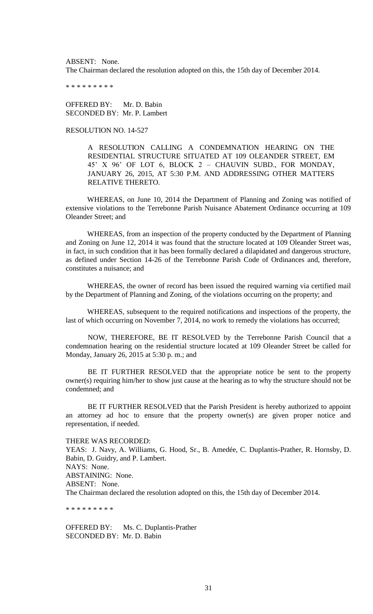ABSENT: None. The Chairman declared the resolution adopted on this, the 15th day of December 2014.

\* \* \* \* \* \* \* \* \*

OFFERED BY: Mr. D. Babin SECONDED BY: Mr. P. Lambert

RESOLUTION NO. 14-527

A RESOLUTION CALLING A CONDEMNATION HEARING ON THE RESIDENTIAL STRUCTURE SITUATED AT 109 OLEANDER STREET, EM 45" X 96" OF LOT 6, BLOCK 2 – CHAUVIN SUBD., FOR MONDAY, JANUARY 26, 2015, AT 5:30 P.M. AND ADDRESSING OTHER MATTERS RELATIVE THERETO.

WHEREAS, on June 10, 2014 the Department of Planning and Zoning was notified of extensive violations to the Terrebonne Parish Nuisance Abatement Ordinance occurring at 109 Oleander Street; and

WHEREAS, from an inspection of the property conducted by the Department of Planning and Zoning on June 12, 2014 it was found that the structure located at 109 Oleander Street was, in fact, in such condition that it has been formally declared a dilapidated and dangerous structure, as defined under Section 14-26 of the Terrebonne Parish Code of Ordinances and, therefore, constitutes a nuisance; and

WHEREAS, the owner of record has been issued the required warning via certified mail by the Department of Planning and Zoning, of the violations occurring on the property; and

WHEREAS, subsequent to the required notifications and inspections of the property, the last of which occurring on November 7, 2014, no work to remedy the violations has occurred;

NOW, THEREFORE, BE IT RESOLVED by the Terrebonne Parish Council that a condemnation hearing on the residential structure located at 109 Oleander Street be called for Monday, January 26, 2015 at 5:30 p. m.; and

BE IT FURTHER RESOLVED that the appropriate notice be sent to the property owner(s) requiring him/her to show just cause at the hearing as to why the structure should not be condemned; and

BE IT FURTHER RESOLVED that the Parish President is hereby authorized to appoint an attorney ad hoc to ensure that the property owner(s) are given proper notice and representation, if needed.

THERE WAS RECORDED:

YEAS: J. Navy, A. Williams, G. Hood, Sr., B. Amedée, C. Duplantis-Prather, R. Hornsby, D. Babin, D. Guidry, and P. Lambert. NAYS: None. ABSTAINING: None. ABSENT: None. The Chairman declared the resolution adopted on this, the 15th day of December 2014.

\* \* \* \* \* \* \* \* \*

OFFERED BY: Ms. C. Duplantis-Prather SECONDED BY: Mr. D. Babin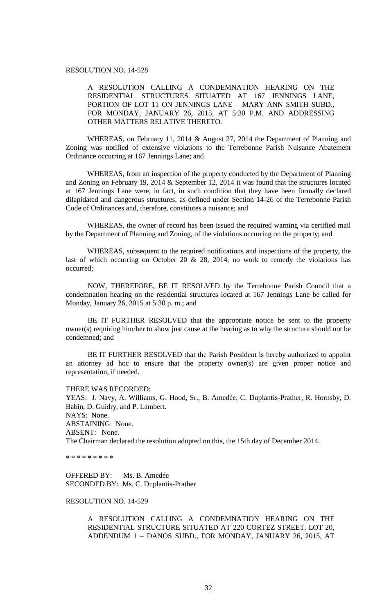## RESOLUTION NO. 14-528

A RESOLUTION CALLING A CONDEMNATION HEARING ON THE RESIDENTIAL STRUCTURES SITUATED AT 167 JENNINGS LANE, PORTION OF LOT 11 ON JENNINGS LANE – MARY ANN SMITH SUBD., FOR MONDAY, JANUARY 26, 2015, AT 5:30 P.M. AND ADDRESSING OTHER MATTERS RELATIVE THERETO.

WHEREAS, on February 11, 2014 & August 27, 2014 the Department of Planning and Zoning was notified of extensive violations to the Terrebonne Parish Nuisance Abatement Ordinance occurring at 167 Jennings Lane; and

WHEREAS, from an inspection of the property conducted by the Department of Planning and Zoning on February 19, 2014 & September 12, 2014 it was found that the structures located at 167 Jennings Lane were, in fact, in such condition that they have been formally declared dilapidated and dangerous structures, as defined under Section 14-26 of the Terrebonne Parish Code of Ordinances and, therefore, constitutes a nuisance; and

WHEREAS, the owner of record has been issued the required warning via certified mail by the Department of Planning and Zoning, of the violations occurring on the property; and

WHEREAS, subsequent to the required notifications and inspections of the property, the last of which occurring on October 20  $\&$  28, 2014, no work to remedy the violations has occurred;

NOW, THEREFORE, BE IT RESOLVED by the Terrebonne Parish Council that a condemnation hearing on the residential structures located at 167 Jennings Lane be called for Monday, January 26, 2015 at 5:30 p. m.; and

BE IT FURTHER RESOLVED that the appropriate notice be sent to the property owner(s) requiring him/her to show just cause at the hearing as to why the structure should not be condemned; and

BE IT FURTHER RESOLVED that the Parish President is hereby authorized to appoint an attorney ad hoc to ensure that the property owner(s) are given proper notice and representation, if needed.

### THERE WAS RECORDED:

YEAS: J. Navy, A. Williams, G. Hood, Sr., B. Amedée, C. Duplantis-Prather, R. Hornsby, D. Babin, D. Guidry, and P. Lambert. NAYS: None. ABSTAINING: None. ABSENT: None. The Chairman declared the resolution adopted on this, the 15th day of December 2014.

\* \* \* \* \* \* \* \* \*

OFFERED BY: Ms. B. Amedée SECONDED BY: Ms. C. Duplantis-Prather

## RESOLUTION NO. 14-529

A RESOLUTION CALLING A CONDEMNATION HEARING ON THE RESIDENTIAL STRUCTURE SITUATED AT 220 CORTEZ STREET, LOT 20, ADDENDUM 1 – DANOS SUBD., FOR MONDAY, JANUARY 26, 2015, AT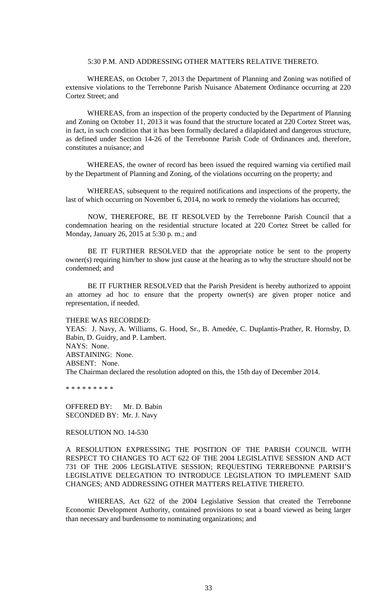## 5:30 P.M. AND ADDRESSING OTHER MATTERS RELATIVE THERETO.

WHEREAS, on October 7, 2013 the Department of Planning and Zoning was notified of extensive violations to the Terrebonne Parish Nuisance Abatement Ordinance occurring at 220 Cortez Street; and

WHEREAS, from an inspection of the property conducted by the Department of Planning and Zoning on October 11, 2013 it was found that the structure located at 220 Cortez Street was, in fact, in such condition that it has been formally declared a dilapidated and dangerous structure, as defined under Section 14-26 of the Terrebonne Parish Code of Ordinances and, therefore, constitutes a nuisance; and

WHEREAS, the owner of record has been issued the required warning via certified mail by the Department of Planning and Zoning, of the violations occurring on the property; and

WHEREAS, subsequent to the required notifications and inspections of the property, the last of which occurring on November 6, 2014, no work to remedy the violations has occurred;

NOW, THEREFORE, BE IT RESOLVED by the Terrebonne Parish Council that a condemnation hearing on the residential structure located at 220 Cortez Street be called for Monday, January 26, 2015 at 5:30 p. m.; and

BE IT FURTHER RESOLVED that the appropriate notice be sent to the property owner(s) requiring him/her to show just cause at the hearing as to why the structure should not be condemned; and

BE IT FURTHER RESOLVED that the Parish President is hereby authorized to appoint an attorney ad hoc to ensure that the property owner(s) are given proper notice and representation, if needed.

#### THERE WAS RECORDED:

YEAS: J. Navy, A. Williams, G. Hood, Sr., B. Amedée, C. Duplantis-Prather, R. Hornsby, D. Babin, D. Guidry, and P. Lambert. NAYS: None. ABSTAINING: None. ABSENT: None. The Chairman declared the resolution adopted on this, the 15th day of December 2014.

\* \* \* \* \* \* \* \* \*

OFFERED BY: Mr. D. Babin SECONDED BY: Mr. J. Navy

## RESOLUTION NO. 14-530

A RESOLUTION EXPRESSING THE POSITION OF THE PARISH COUNCIL WITH RESPECT TO CHANGES TO ACT 622 OF THE 2004 LEGISLATIVE SESSION AND ACT 731 OF THE 2006 LEGISLATIVE SESSION; REQUESTING TERREBONNE PARISH"S LEGISLATIVE DELEGATION TO INTRODUCE LEGISLATION TO IMPLEMENT SAID CHANGES; AND ADDRESSING OTHER MATTERS RELATIVE THERETO.

WHEREAS, Act 622 of the 2004 Legislative Session that created the Terrebonne Economic Development Authority, contained provisions to seat a board viewed as being larger than necessary and burdensome to nominating organizations; and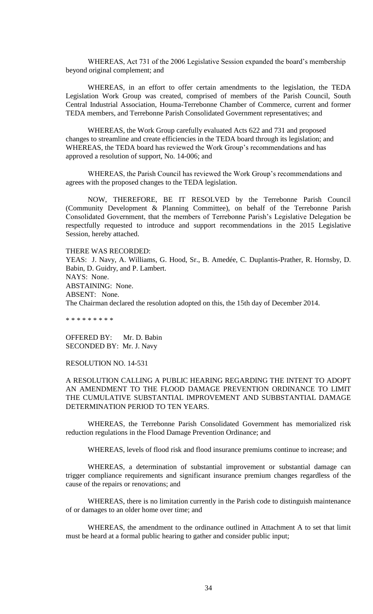WHEREAS, Act 731 of the 2006 Legislative Session expanded the board"s membership beyond original complement; and

WHEREAS, in an effort to offer certain amendments to the legislation, the TEDA Legislation Work Group was created, comprised of members of the Parish Council, South Central Industrial Association, Houma-Terrebonne Chamber of Commerce, current and former TEDA members, and Terrebonne Parish Consolidated Government representatives; and

WHEREAS, the Work Group carefully evaluated Acts 622 and 731 and proposed changes to streamline and create efficiencies in the TEDA board through its legislation; and WHEREAS, the TEDA board has reviewed the Work Group"s recommendations and has approved a resolution of support, No. 14-006; and

WHEREAS, the Parish Council has reviewed the Work Group"s recommendations and agrees with the proposed changes to the TEDA legislation.

NOW, THEREFORE, BE IT RESOLVED by the Terrebonne Parish Council (Community Development & Planning Committee), on behalf of the Terrebonne Parish Consolidated Government, that the members of Terrebonne Parish"s Legislative Delegation be respectfully requested to introduce and support recommendations in the 2015 Legislative Session, hereby attached.

THERE WAS RECORDED:

YEAS: J. Navy, A. Williams, G. Hood, Sr., B. Amedée, C. Duplantis-Prather, R. Hornsby, D. Babin, D. Guidry, and P. Lambert. NAYS: None. ABSTAINING: None. ABSENT: None. The Chairman declared the resolution adopted on this, the 15th day of December 2014.

\* \* \* \* \* \* \* \* \*

OFFERED BY: Mr. D. Babin SECONDED BY: Mr. J. Navy

## RESOLUTION NO. 14-531

A RESOLUTION CALLING A PUBLIC HEARING REGARDING THE INTENT TO ADOPT AN AMENDMENT TO THE FLOOD DAMAGE PREVENTION ORDINANCE TO LIMIT THE CUMULATIVE SUBSTANTIAL IMPROVEMENT AND SUBBSTANTIAL DAMAGE DETERMINATION PERIOD TO TEN YEARS.

WHEREAS, the Terrebonne Parish Consolidated Government has memorialized risk reduction regulations in the Flood Damage Prevention Ordinance; and

WHEREAS, levels of flood risk and flood insurance premiums continue to increase; and

WHEREAS, a determination of substantial improvement or substantial damage can trigger compliance requirements and significant insurance premium changes regardless of the cause of the repairs or renovations; and

WHEREAS, there is no limitation currently in the Parish code to distinguish maintenance of or damages to an older home over time; and

WHEREAS, the amendment to the ordinance outlined in Attachment A to set that limit must be heard at a formal public hearing to gather and consider public input;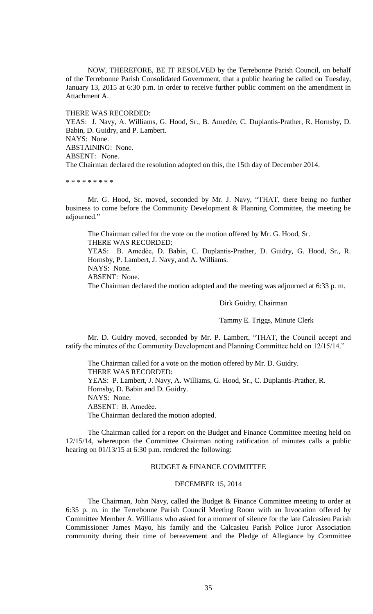NOW, THEREFORE, BE IT RESOLVED by the Terrebonne Parish Council, on behalf of the Terrebonne Parish Consolidated Government, that a public hearing be called on Tuesday, January 13, 2015 at 6:30 p.m. in order to receive further public comment on the amendment in Attachment A.

THERE WAS RECORDED: YEAS: J. Navy, A. Williams, G. Hood, Sr., B. Amedée, C. Duplantis-Prather, R. Hornsby, D. Babin, D. Guidry, and P. Lambert. NAYS: None. ABSTAINING: None. ABSENT: None. The Chairman declared the resolution adopted on this, the 15th day of December 2014.

\* \* \* \* \* \* \* \* \*

Mr. G. Hood, Sr. moved, seconded by Mr. J. Navy, "THAT, there being no further business to come before the Community Development & Planning Committee, the meeting be adjourned."

The Chairman called for the vote on the motion offered by Mr. G. Hood, Sr. THERE WAS RECORDED: YEAS: B. Amedẻe, D. Babin, C. Duplantis-Prather, D. Guidry, G. Hood, Sr., R. Hornsby, P. Lambert, J. Navy, and A. Williams. NAYS: None.

ABSENT: None.

The Chairman declared the motion adopted and the meeting was adjourned at 6:33 p. m.

Dirk Guidry, Chairman

Tammy E. Triggs, Minute Clerk

Mr. D. Guidry moved, seconded by Mr. P. Lambert, "THAT, the Council accept and ratify the minutes of the Community Development and Planning Committee held on 12/15/14."

The Chairman called for a vote on the motion offered by Mr. D. Guidry. THERE WAS RECORDED: YEAS: P. Lambert, J. Navy, A. Williams, G. Hood, Sr., C. Duplantis-Prather, R. Hornsby, D. Babin and D. Guidry. NAYS: None. ABSENT: B. Amedèe. The Chairman declared the motion adopted.

The Chairman called for a report on the Budget and Finance Committee meeting held on 12/15/14, whereupon the Committee Chairman noting ratification of minutes calls a public hearing on 01/13/15 at 6:30 p.m. rendered the following:

# BUDGET & FINANCE COMMITTEE

## DECEMBER 15, 2014

The Chairman, John Navy, called the Budget & Finance Committee meeting to order at 6:35 p. m. in the Terrebonne Parish Council Meeting Room with an Invocation offered by Committee Member A. Williams who asked for a moment of silence for the late Calcasieu Parish Commissioner James Mayo, his family and the Calcasieu Parish Police Juror Association community during their time of bereavement and the Pledge of Allegiance by Committee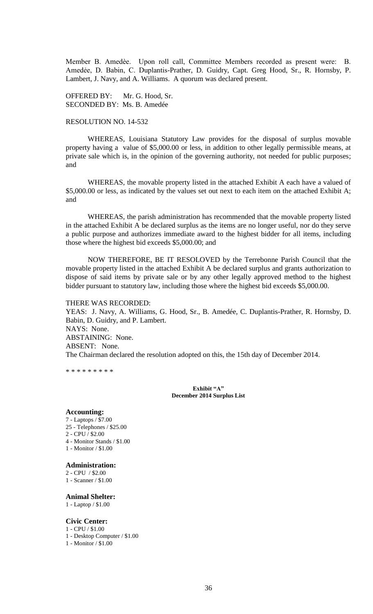Member B. Amedѐe. Upon roll call, Committee Members recorded as present were: B. Amedẻe, D. Babin, C. Duplantis-Prather, D. Guidry, Capt. Greg Hood, Sr., R. Hornsby, P. Lambert, J. Navy, and A. Williams. A quorum was declared present.

OFFERED BY: Mr. G. Hood, Sr. SECONDED BY: Ms. B. Amedée

# RESOLUTION NO. 14-532

WHEREAS, Louisiana Statutory Law provides for the disposal of surplus movable property having a value of \$5,000.00 or less, in addition to other legally permissible means, at private sale which is, in the opinion of the governing authority, not needed for public purposes; and

WHEREAS, the movable property listed in the attached Exhibit A each have a valued of \$5,000.00 or less, as indicated by the values set out next to each item on the attached Exhibit A; and

WHEREAS, the parish administration has recommended that the movable property listed in the attached Exhibit A be declared surplus as the items are no longer useful, nor do they serve a public purpose and authorizes immediate award to the highest bidder for all items, including those where the highest bid exceeds \$5,000.00; and

NOW THEREFORE, BE IT RESOLOVED by the Terrebonne Parish Council that the movable property listed in the attached Exhibit A be declared surplus and grants authorization to dispose of said items by private sale or by any other legally approved method to the highest bidder pursuant to statutory law, including those where the highest bid exceeds \$5,000.00.

#### THERE WAS RECORDED:

YEAS: J. Navy, A. Williams, G. Hood, Sr., B. Amedée, C. Duplantis-Prather, R. Hornsby, D. Babin, D. Guidry, and P. Lambert. NAYS: None. ABSTAINING: None. ABSENT: None. The Chairman declared the resolution adopted on this, the 15th day of December 2014.

\* \* \* \* \* \* \* \* \*

**Exhibit "A" December 2014 Surplus List**

#### **Accounting:**

7 - Laptops / \$7.00 25 - Telephones / \$25.00 2 - CPU / \$2.00 4 - Monitor Stands / \$1.00 1 - Monitor / \$1.00

#### **Administration:**

2 - CPU / \$2.00

1 - Scanner / \$1.00

## **Animal Shelter:**

1 - Laptop / \$1.00

#### **Civic Center:**

- 1 CPU / \$1.00
- 1 Desktop Computer / \$1.00
- 1 Monitor / \$1.00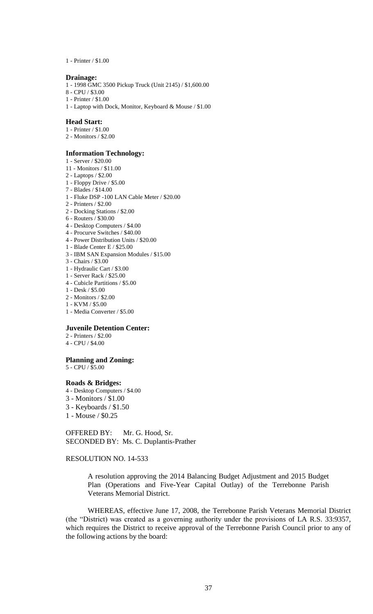1 - Printer / \$1.00

#### **Drainage:**

- 1 1998 GMC 3500 Pickup Truck (Unit 2145) / \$1,600.00
- 8 CPU / \$3.00
- 1 Printer / \$1.00
- 1 Laptop with Dock, Monitor, Keyboard & Mouse / \$1.00

### **Head Start:**

- 1 Printer / \$1.00
- 2 Monitors / \$2.00

### **Information Technology:**

- 1 Server / \$20.00
- 11 Monitors / \$11.00
- 2 Laptops / \$2.00
- 1 Floppy Drive / \$5.00
- 7 Blades / \$14.00
- 1 Fluke DSP -100 LAN Cable Meter / \$20.00
- 2 Printers / \$2.00
- 2 Docking Stations / \$2.00
- 6 Routers / \$30.00
- 4 Desktop Computers / \$4.00
- 4 Procurve Switches / \$40.00 4 - Power Distribution Units / \$20.00
- 
- 1 Blade Center E / \$25.00 3 - IBM SAN Expansion Modules / \$15.00
- 3 Chairs / \$3.00
- 1 Hydraulic Cart / \$3.00
- 1 Server Rack / \$25.00
- 4 Cubicle Partitions / \$5.00
- 1 Desk / \$5.00
- 2 Monitors / \$2.00
- 1 KVM / \$5.00
- 1 Media Converter / \$5.00

### **Juvenile Detention Center:**

- 2 Printers / \$2.00
- 4 CPU / \$4.00

## **Planning and Zoning:**

5 - CPU / \$5.00

#### **Roads & Bridges:**

- 4 Desktop Computers / \$4.00
- 3 Monitors / \$1.00
- 3 Keyboards / \$1.50
- 1 Mouse / \$0.25

OFFERED BY: Mr. G. Hood, Sr. SECONDED BY: Ms. C. Duplantis-Prather

## RESOLUTION NO. 14-533

A resolution approving the 2014 Balancing Budget Adjustment and 2015 Budget Plan (Operations and Five-Year Capital Outlay) of the Terrebonne Parish Veterans Memorial District.

WHEREAS, effective June 17, 2008, the Terrebonne Parish Veterans Memorial District (the "District) was created as a governing authority under the provisions of LA R.S. 33:9357, which requires the District to receive approval of the Terrebonne Parish Council prior to any of the following actions by the board: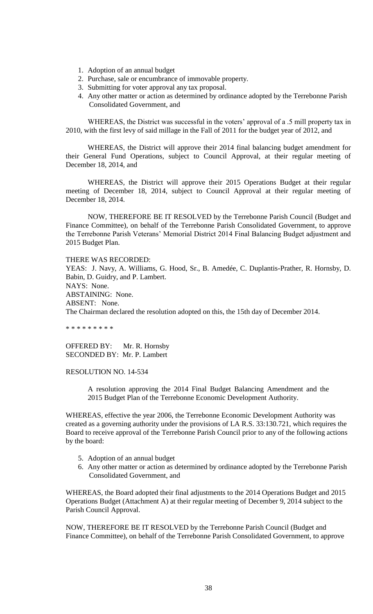- 1. Adoption of an annual budget
- 2. Purchase, sale or encumbrance of immovable property.
- 3. Submitting for voter approval any tax proposal.
- 4. Any other matter or action as determined by ordinance adopted by the Terrebonne Parish Consolidated Government, and

WHEREAS, the District was successful in the voters' approval of a .5 mill property tax in 2010, with the first levy of said millage in the Fall of 2011 for the budget year of 2012, and

WHEREAS, the District will approve their 2014 final balancing budget amendment for their General Fund Operations, subject to Council Approval, at their regular meeting of December 18, 2014, and

WHEREAS, the District will approve their 2015 Operations Budget at their regular meeting of December 18, 2014, subject to Council Approval at their regular meeting of December 18, 2014.

NOW, THEREFORE BE IT RESOLVED by the Terrebonne Parish Council (Budget and Finance Committee), on behalf of the Terrebonne Parish Consolidated Government, to approve the Terrebonne Parish Veterans' Memorial District 2014 Final Balancing Budget adjustment and 2015 Budget Plan.

THERE WAS RECORDED:

YEAS: J. Navy, A. Williams, G. Hood, Sr., B. Amedée, C. Duplantis-Prather, R. Hornsby, D. Babin, D. Guidry, and P. Lambert. NAYS: None. ABSTAINING: None. ABSENT: None. The Chairman declared the resolution adopted on this, the 15th day of December 2014.

\* \* \* \* \* \* \* \* \*

OFFERED BY: Mr. R. Hornsby SECONDED BY: Mr. P. Lambert

RESOLUTION NO. 14-534

A resolution approving the 2014 Final Budget Balancing Amendment and the 2015 Budget Plan of the Terrebonne Economic Development Authority.

WHEREAS, effective the year 2006, the Terrebonne Economic Development Authority was created as a governing authority under the provisions of LA R.S. 33:130.721, which requires the Board to receive approval of the Terrebonne Parish Council prior to any of the following actions by the board:

- 5. Adoption of an annual budget
- 6. Any other matter or action as determined by ordinance adopted by the Terrebonne Parish Consolidated Government, and

WHEREAS, the Board adopted their final adjustments to the 2014 Operations Budget and 2015 Operations Budget (Attachment A) at their regular meeting of December 9, 2014 subject to the Parish Council Approval.

NOW, THEREFORE BE IT RESOLVED by the Terrebonne Parish Council (Budget and Finance Committee), on behalf of the Terrebonne Parish Consolidated Government, to approve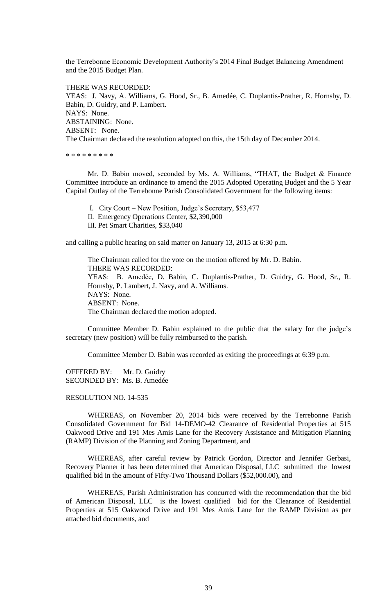the Terrebonne Economic Development Authority"s 2014 Final Budget Balancing Amendment and the 2015 Budget Plan.

THERE WAS RECORDED: YEAS: J. Navy, A. Williams, G. Hood, Sr., B. Amedée, C. Duplantis-Prather, R. Hornsby, D. Babin, D. Guidry, and P. Lambert. NAYS: None. ABSTAINING: None. ABSENT: None. The Chairman declared the resolution adopted on this, the 15th day of December 2014.

\* \* \* \* \* \* \* \* \*

Mr. D. Babin moved, seconded by Ms. A. Williams, "THAT, the Budget & Finance Committee introduce an ordinance to amend the 2015 Adopted Operating Budget and the 5 Year Capital Outlay of the Terrebonne Parish Consolidated Government for the following items:

I. City Court – New Position, Judge"s Secretary, \$53,477

II. Emergency Operations Center, \$2,390,000

III. Pet Smart Charities, \$33,040

and calling a public hearing on said matter on January 13, 2015 at 6:30 p.m.

The Chairman called for the vote on the motion offered by Mr. D. Babin. THERE WAS RECORDED: YEAS: B. Amedée, D. Babin, C. Duplantis-Prather, D. Guidry, G. Hood, Sr., R. Hornsby, P. Lambert, J. Navy, and A. Williams. NAYS: None. ABSENT: None. The Chairman declared the motion adopted.

Committee Member D. Babin explained to the public that the salary for the judge"s secretary (new position) will be fully reimbursed to the parish.

Committee Member D. Babin was recorded as exiting the proceedings at 6:39 p.m.

OFFERED BY: Mr. D. Guidry SECONDED BY: Ms. B. Amedée

# RESOLUTION NO. 14-535

WHEREAS, on November 20, 2014 bids were received by the Terrebonne Parish Consolidated Government for Bid 14-DEMO-42 Clearance of Residential Properties at 515 Oakwood Drive and 191 Mes Amis Lane for the Recovery Assistance and Mitigation Planning (RAMP) Division of the Planning and Zoning Department, and

WHEREAS, after careful review by Patrick Gordon, Director and Jennifer Gerbasi, Recovery Planner it has been determined that American Disposal, LLC submitted the lowest qualified bid in the amount of Fifty-Two Thousand Dollars (\$52,000.00), and

WHEREAS, Parish Administration has concurred with the recommendation that the bid of American Disposal, LLC is the lowest qualified bid for the Clearance of Residential Properties at 515 Oakwood Drive and 191 Mes Amis Lane for the RAMP Division as per attached bid documents, and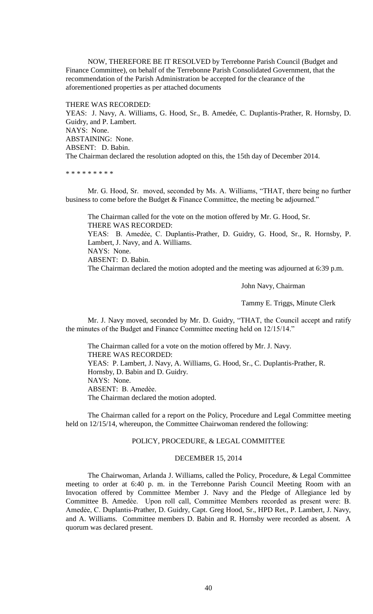NOW, THEREFORE BE IT RESOLVED by Terrebonne Parish Council (Budget and Finance Committee), on behalf of the Terrebonne Parish Consolidated Government, that the recommendation of the Parish Administration be accepted for the clearance of the aforementioned properties as per attached documents

THERE WAS RECORDED: YEAS: J. Navy, A. Williams, G. Hood, Sr., B. Amedée, C. Duplantis-Prather, R. Hornsby, D. Guidry, and P. Lambert. NAYS: None. ABSTAINING: None. ABSENT: D. Babin. The Chairman declared the resolution adopted on this, the 15th day of December 2014.

\* \* \* \* \* \* \* \* \*

Mr. G. Hood, Sr. moved, seconded by Ms. A. Williams, "THAT, there being no further business to come before the Budget & Finance Committee, the meeting be adjourned."

The Chairman called for the vote on the motion offered by Mr. G. Hood, Sr. THERE WAS RECORDED: YEAS: B. Amedée, C. Duplantis-Prather, D. Guidry, G. Hood, Sr., R. Hornsby, P. Lambert, J. Navy, and A. Williams. NAYS: None. ABSENT: D. Babin. The Chairman declared the motion adopted and the meeting was adjourned at 6:39 p.m.

John Navy, Chairman

Tammy E. Triggs, Minute Clerk

Mr. J. Navy moved, seconded by Mr. D. Guidry, "THAT, the Council accept and ratify the minutes of the Budget and Finance Committee meeting held on 12/15/14."

The Chairman called for a vote on the motion offered by Mr. J. Navy. THERE WAS RECORDED: YEAS: P. Lambert, J. Navy, A. Williams, G. Hood, Sr., C. Duplantis-Prather, R. Hornsby, D. Babin and D. Guidry. NAYS: None. ABSENT: B. Amedѐe. The Chairman declared the motion adopted.

 The Chairman called for a report on the Policy, Procedure and Legal Committee meeting held on 12/15/14, whereupon, the Committee Chairwoman rendered the following:

# POLICY, PROCEDURE, & LEGAL COMMITTEE

## DECEMBER 15, 2014

The Chairwoman, Arlanda J. Williams, called the Policy, Procedure, & Legal Committee meeting to order at 6:40 p. m. in the Terrebonne Parish Council Meeting Room with an Invocation offered by Committee Member J. Navy and the Pledge of Allegiance led by Committee B. Amedѐe. Upon roll call, Committee Members recorded as present were: B. Amedẻe, C. Duplantis-Prather, D. Guidry, Capt. Greg Hood, Sr., HPD Ret., P. Lambert, J. Navy, and A. Williams. Committee members D. Babin and R. Hornsby were recorded as absent. A quorum was declared present.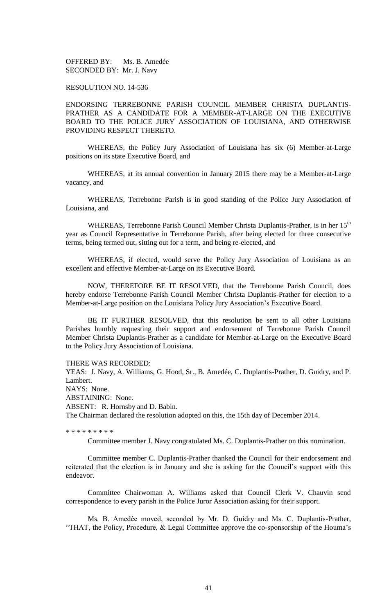OFFERED BY: Ms. B. Amedée SECONDED BY: Mr. J. Navy

## RESOLUTION NO. 14-536

ENDORSING TERREBONNE PARISH COUNCIL MEMBER CHRISTA DUPLANTIS-PRATHER AS A CANDIDATE FOR A MEMBER-AT-LARGE ON THE EXECUTIVE BOARD TO THE POLICE JURY ASSOCIATION OF LOUISIANA, AND OTHERWISE PROVIDING RESPECT THERETO.

WHEREAS, the Policy Jury Association of Louisiana has six (6) Member-at-Large positions on its state Executive Board, and

WHEREAS, at its annual convention in January 2015 there may be a Member-at-Large vacancy, and

WHEREAS, Terrebonne Parish is in good standing of the Police Jury Association of Louisiana, and

WHEREAS, Terrebonne Parish Council Member Christa Duplantis-Prather, is in her 15<sup>th</sup> year as Council Representative in Terrebonne Parish, after being elected for three consecutive terms, being termed out, sitting out for a term, and being re-elected, and

WHEREAS, if elected, would serve the Policy Jury Association of Louisiana as an excellent and effective Member-at-Large on its Executive Board.

NOW, THEREFORE BE IT RESOLVED, that the Terrebonne Parish Council, does hereby endorse Terrebonne Parish Council Member Christa Duplantis-Prather for election to a Member-at-Large position on the Louisiana Policy Jury Association"s Executive Board.

BE IT FURTHER RESOLVED, that this resolution be sent to all other Louisiana Parishes humbly requesting their support and endorsement of Terrebonne Parish Council Member Christa Duplantis-Prather as a candidate for Member-at-Large on the Executive Board to the Policy Jury Association of Louisiana.

### THERE WAS RECORDED:

YEAS: J. Navy, A. Williams, G. Hood, Sr., B. Amedée, C. Duplantis-Prather, D. Guidry, and P. Lambert. NAYS: None. ABSTAINING: None. ABSENT: R. Hornsby and D. Babin. The Chairman declared the resolution adopted on this, the 15th day of December 2014.

\* \* \* \* \* \* \* \* \*

Committee member J. Navy congratulated Ms. C. Duplantis-Prather on this nomination.

Committee member C. Duplantis-Prather thanked the Council for their endorsement and reiterated that the election is in January and she is asking for the Council"s support with this endeavor.

Committee Chairwoman A. Williams asked that Council Clerk V. Chauvin send correspondence to every parish in the Police Juror Association asking for their support.

Ms. B. Amedèe moved, seconded by Mr. D. Guidry and Ms. C. Duplantis-Prather, "THAT, the Policy, Procedure, & Legal Committee approve the co-sponsorship of the Houma"s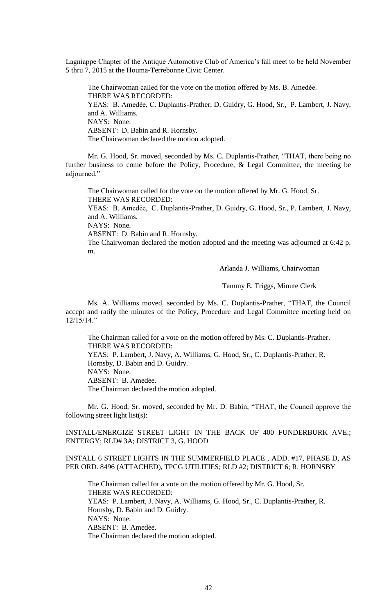Lagniappe Chapter of the Antique Automotive Club of America"s fall meet to be held November 5 thru 7, 2015 at the Houma-Terrebonne Civic Center.

The Chairwoman called for the vote on the motion offered by Ms. B. Amedèe. THERE WAS RECORDED: YEAS: B. Amedẻe, C. Duplantis-Prather, D. Guidry, G. Hood, Sr., P. Lambert, J. Navy, and A. Williams. NAYS: None. ABSENT: D. Babin and R. Hornsby. The Chairwoman declared the motion adopted.

Mr. G. Hood, Sr. moved, seconded by Ms. C. Duplantis-Prather, "THAT, there being no further business to come before the Policy, Procedure, & Legal Committee, the meeting be adjourned."

The Chairwoman called for the vote on the motion offered by Mr. G. Hood, Sr. THERE WAS RECORDED: YEAS: B. Amedẻe, C. Duplantis-Prather, D. Guidry, G. Hood, Sr., P. Lambert, J. Navy, and A. Williams. NAYS: None. ABSENT: D. Babin and R. Hornsby. The Chairwoman declared the motion adopted and the meeting was adjourned at 6:42 p. m.

Arlanda J. Williams, Chairwoman

Tammy E. Triggs, Minute Clerk

Ms. A. Williams moved, seconded by Ms. C. Duplantis-Prather, "THAT, the Council accept and ratify the minutes of the Policy, Procedure and Legal Committee meeting held on 12/15/14."

The Chairman called for a vote on the motion offered by Ms. C. Duplantis-Prather. THERE WAS RECORDED: YEAS: P. Lambert, J. Navy, A. Williams, G. Hood, Sr., C. Duplantis-Prather, R. Hornsby, D. Babin and D. Guidry. NAYS: None. ABSENT: B. Amedѐe. The Chairman declared the motion adopted.

Mr. G. Hood, Sr. moved, seconded by Mr. D. Babin, "THAT, the Council approve the following street light list(s):

INSTALL/ENERGIZE STREET LIGHT IN THE BACK OF 400 FUNDERBURK AVE.; ENTERGY; RLD# 3A; DISTRICT 3, G. HOOD

# INSTALL 6 STREET LIGHTS IN THE SUMMERFIELD PLACE , ADD. #17, PHASE D, AS PER ORD. 8496 (ATTACHED), TPCG UTILITIES; RLD #2; DISTRICT 6; R. HORNSBY

The Chairman called for a vote on the motion offered by Mr. G. Hood, Sr. THERE WAS RECORDED: YEAS: P. Lambert, J. Navy, A. Williams, G. Hood, Sr., C. Duplantis-Prather, R. Hornsby, D. Babin and D. Guidry. NAYS: None. ABSENT: B. Amedèe. The Chairman declared the motion adopted.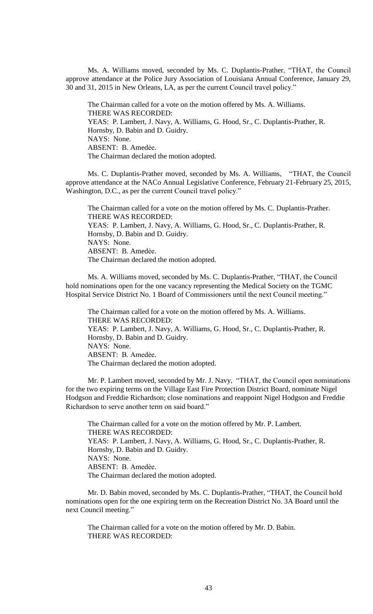Ms. A. Williams moved, seconded by Ms. C. Duplantis-Prather, "THAT, the Council approve attendance at the Police Jury Association of Louisiana Annual Conference, January 29, 30 and 31, 2015 in New Orleans, LA, as per the current Council travel policy."

The Chairman called for a vote on the motion offered by Ms. A. Williams. THERE WAS RECORDED: YEAS: P. Lambert, J. Navy, A. Williams, G. Hood, Sr., C. Duplantis-Prather, R. Hornsby, D. Babin and D. Guidry. NAYS: None. ABSENT: B. Amedèe. The Chairman declared the motion adopted.

Ms. C. Duplantis-Prather moved, seconded by Ms. A. Williams, "THAT, the Council approve attendance at the NACo Annual Legislative Conference, February 21-February 25, 2015, Washington, D.C., as per the current Council travel policy."

The Chairman called for a vote on the motion offered by Ms. C. Duplantis-Prather. THERE WAS RECORDED: YEAS: P. Lambert, J. Navy, A. Williams, G. Hood, Sr., C. Duplantis-Prather, R. Hornsby, D. Babin and D. Guidry. NAYS: None. ABSENT: B. Amedèe. The Chairman declared the motion adopted.

Ms. A. Williams moved, seconded by Ms. C. Duplantis-Prather, "THAT, the Council hold nominations open for the one vacancy representing the Medical Society on the TGMC Hospital Service District No. 1 Board of Commissioners until the next Council meeting."

The Chairman called for a vote on the motion offered by Ms. A. Williams. THERE WAS RECORDED: YEAS: P. Lambert, J. Navy, A. Williams, G. Hood, Sr., C. Duplantis-Prather, R. Hornsby, D. Babin and D. Guidry. NAYS: None. ABSENT: B. Amedèe. The Chairman declared the motion adopted.

Mr. P. Lambert moved, seconded by Mr. J. Navy, "THAT, the Council open nominations for the two expiring terms on the Village East Fire Protection District Board, nominate Nigel Hodgson and Freddie Richardson; close nominations and reappoint Nigel Hodgson and Freddie Richardson to serve another term on said board."

The Chairman called for a vote on the motion offered by Mr. P. Lambert. THERE WAS RECORDED: YEAS: P. Lambert, J. Navy, A. Williams, G. Hood, Sr., C. Duplantis-Prather, R. Hornsby, D. Babin and D. Guidry. NAYS: None. ABSENT: B. Amedѐe. The Chairman declared the motion adopted.

Mr. D. Babin moved, seconded by Ms. C. Duplantis-Prather, "THAT, the Council hold nominations open for the one expiring term on the Recreation District No. 3A Board until the next Council meeting."

The Chairman called for a vote on the motion offered by Mr. D. Babin. THERE WAS RECORDED: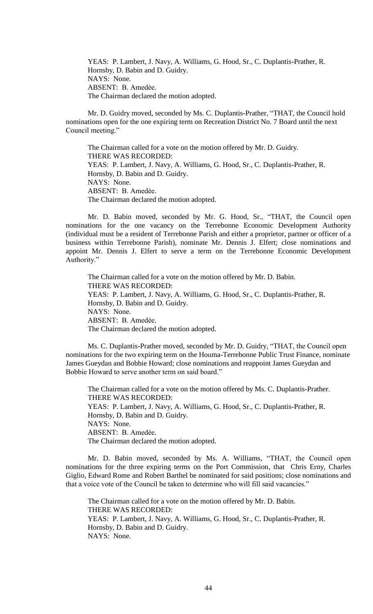YEAS: P. Lambert, J. Navy, A. Williams, G. Hood, Sr., C. Duplantis-Prather, R. Hornsby, D. Babin and D. Guidry. NAYS: None. ABSENT: B. Amedèe. The Chairman declared the motion adopted.

Mr. D. Guidry moved, seconded by Ms. C. Duplantis-Prather, "THAT, the Council hold nominations open for the one expiring term on Recreation District No. 7 Board until the next Council meeting."

The Chairman called for a vote on the motion offered by Mr. D. Guidry. THERE WAS RECORDED: YEAS: P. Lambert, J. Navy, A. Williams, G. Hood, Sr., C. Duplantis-Prather, R. Hornsby, D. Babin and D. Guidry. NAYS: None. ABSENT: B. Amedèe. The Chairman declared the motion adopted.

Mr. D. Babin moved, seconded by Mr. G. Hood, Sr., "THAT, the Council open nominations for the one vacancy on the Terrebonne Economic Development Authority (individual must be a resident of Terrebonne Parish and either a proprietor, partner or officer of a business within Terrebonne Parish), nominate Mr. Dennis J. Elfert; close nominations and appoint Mr. Dennis J. Elfert to serve a term on the Terrebonne Economic Development Authority."

The Chairman called for a vote on the motion offered by Mr. D. Babin. THERE WAS RECORDED: YEAS: P. Lambert, J. Navy, A. Williams, G. Hood, Sr., C. Duplantis-Prather, R. Hornsby, D. Babin and D. Guidry. NAYS: None. ABSENT: B. Amedèe. The Chairman declared the motion adopted.

Ms. C. Duplantis-Prather moved, seconded by Mr. D. Guidry, "THAT, the Council open nominations for the two expiring term on the Houma-Terrebonne Public Trust Finance, nominate James Gueydan and Bobbie Howard; close nominations and reappoint James Gueydan and Bobbie Howard to serve another term on said board."

The Chairman called for a vote on the motion offered by Ms. C. Duplantis-Prather. THERE WAS RECORDED: YEAS: P. Lambert, J. Navy, A. Williams, G. Hood, Sr., C. Duplantis-Prather, R. Hornsby, D. Babin and D. Guidry. NAYS: None. ABSENT: B. Amedèe. The Chairman declared the motion adopted.

Mr. D. Babin moved, seconded by Ms. A. Williams, "THAT, the Council open nominations for the three expiring terms on the Port Commission, that Chris Erny, Charles Giglio, Edward Rome and Robert Barthel be nominated for said positions; close nominations and that a voice vote of the Council be taken to determine who will fill said vacancies."

The Chairman called for a vote on the motion offered by Mr. D. Babin. THERE WAS RECORDED: YEAS: P. Lambert, J. Navy, A. Williams, G. Hood, Sr., C. Duplantis-Prather, R. Hornsby, D. Babin and D. Guidry. NAYS: None.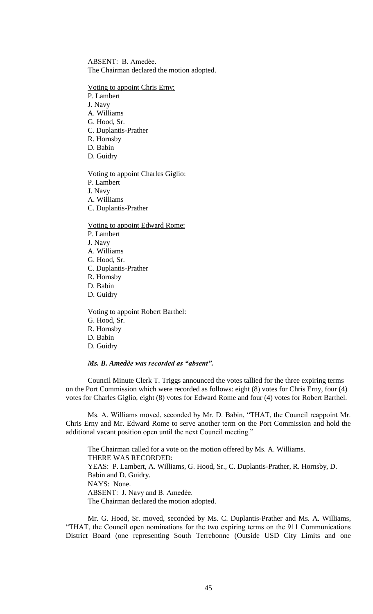ABSENT: B. Amedèe. The Chairman declared the motion adopted.

## Voting to appoint Chris Erny:

P. Lambert

- J. Navy
- A. Williams
- G. Hood, Sr.
- C. Duplantis-Prather
- R. Hornsby
- D. Babin
- D. Guidry

# Voting to appoint Charles Giglio:

P. Lambert

J. Navy

A. Williams

C. Duplantis-Prather

Voting to appoint Edward Rome:

P. Lambert

J. Navy

- A. Williams
- G. Hood, Sr.
- C. Duplantis-Prather
- R. Hornsby
- D. Babin
- D. Guidry

Voting to appoint Robert Barthel: G. Hood, Sr. R. Hornsby D. Babin D. Guidry

## *Ms. B. Amedѐe was recorded as "absent".*

Council Minute Clerk T. Triggs announced the votes tallied for the three expiring terms on the Port Commission which were recorded as follows: eight (8) votes for Chris Erny, four (4) votes for Charles Giglio, eight (8) votes for Edward Rome and four (4) votes for Robert Barthel.

Ms. A. Williams moved, seconded by Mr. D. Babin, "THAT, the Council reappoint Mr. Chris Erny and Mr. Edward Rome to serve another term on the Port Commission and hold the additional vacant position open until the next Council meeting."

The Chairman called for a vote on the motion offered by Ms. A. Williams. THERE WAS RECORDED: YEAS: P. Lambert, A. Williams, G. Hood, Sr., C. Duplantis-Prather, R. Hornsby, D. Babin and D. Guidry. NAYS: None. ABSENT: J. Navy and B. Amedèe. The Chairman declared the motion adopted.

Mr. G. Hood, Sr. moved, seconded by Ms. C. Duplantis-Prather and Ms. A. Williams, "THAT, the Council open nominations for the two expiring terms on the 911 Communications District Board (one representing South Terrebonne (Outside USD City Limits and one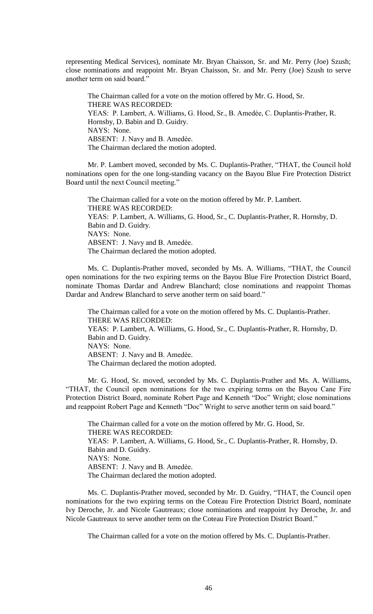representing Medical Services), nominate Mr. Bryan Chaisson, Sr. and Mr. Perry (Joe) Szush; close nominations and reappoint Mr. Bryan Chaisson, Sr. and Mr. Perry (Joe) Szush to serve another term on said board."

The Chairman called for a vote on the motion offered by Mr. G. Hood, Sr. THERE WAS RECORDED: YEAS: P. Lambert, A. Williams, G. Hood, Sr., B. Amedèe, C. Duplantis-Prather, R. Hornsby, D. Babin and D. Guidry. NAYS: None. ABSENT: J. Navy and B. Amedèe. The Chairman declared the motion adopted.

Mr. P. Lambert moved, seconded by Ms. C. Duplantis-Prather, "THAT, the Council hold nominations open for the one long-standing vacancy on the Bayou Blue Fire Protection District Board until the next Council meeting."

The Chairman called for a vote on the motion offered by Mr. P. Lambert. THERE WAS RECORDED: YEAS: P. Lambert, A. Williams, G. Hood, Sr., C. Duplantis-Prather, R. Hornsby, D. Babin and D. Guidry. NAYS: None. ABSENT: J. Navy and B. Amedèe. The Chairman declared the motion adopted.

Ms. C. Duplantis-Prather moved, seconded by Ms. A. Williams, "THAT, the Council open nominations for the two expiring terms on the Bayou Blue Fire Protection District Board, nominate Thomas Dardar and Andrew Blanchard; close nominations and reappoint Thomas Dardar and Andrew Blanchard to serve another term on said board."

The Chairman called for a vote on the motion offered by Ms. C. Duplantis-Prather. THERE WAS RECORDED: YEAS: P. Lambert, A. Williams, G. Hood, Sr., C. Duplantis-Prather, R. Hornsby, D. Babin and D. Guidry. NAYS: None. ABSENT: J. Navy and B. Amedèe. The Chairman declared the motion adopted.

Mr. G. Hood, Sr. moved, seconded by Ms. C. Duplantis-Prather and Ms. A. Williams, "THAT, the Council open nominations for the two expiring terms on the Bayou Cane Fire Protection District Board, nominate Robert Page and Kenneth "Doc" Wright; close nominations and reappoint Robert Page and Kenneth "Doc" Wright to serve another term on said board."

The Chairman called for a vote on the motion offered by Mr. G. Hood, Sr. THERE WAS RECORDED: YEAS: P. Lambert, A. Williams, G. Hood, Sr., C. Duplantis-Prather, R. Hornsby, D. Babin and D. Guidry. NAYS: None. ABSENT: J. Navy and B. Amedèe. The Chairman declared the motion adopted.

 Ms. C. Duplantis-Prather moved, seconded by Mr. D. Guidry, "THAT, the Council open nominations for the two expiring terms on the Coteau Fire Protection District Board, nominate Ivy Deroche, Jr. and Nicole Gautreaux; close nominations and reappoint Ivy Deroche, Jr. and Nicole Gautreaux to serve another term on the Coteau Fire Protection District Board."

The Chairman called for a vote on the motion offered by Ms. C. Duplantis-Prather.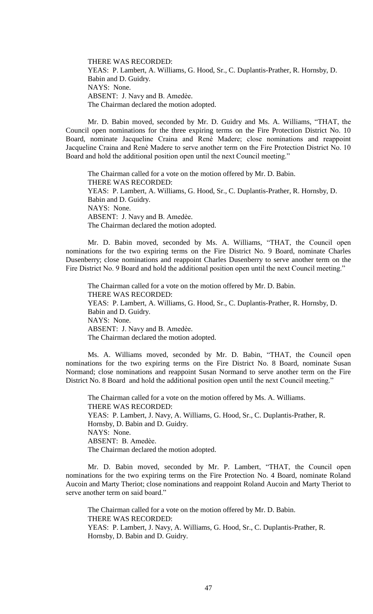THERE WAS RECORDED: YEAS: P. Lambert, A. Williams, G. Hood, Sr., C. Duplantis-Prather, R. Hornsby, D. Babin and D. Guidry. NAYS: None. ABSENT: J. Navy and B. Amedèe. The Chairman declared the motion adopted.

Mr. D. Babin moved, seconded by Mr. D. Guidry and Ms. A. Williams, "THAT, the Council open nominations for the three expiring terms on the Fire Protection District No. 10 Board, nominate Jacqueline Craina and Renѐ Madere; close nominations and reappoint Jacqueline Craina and Renѐ Madere to serve another term on the Fire Protection District No. 10 Board and hold the additional position open until the next Council meeting."

The Chairman called for a vote on the motion offered by Mr. D. Babin. THERE WAS RECORDED: YEAS: P. Lambert, A. Williams, G. Hood, Sr., C. Duplantis-Prather, R. Hornsby, D. Babin and D. Guidry. NAYS: None. ABSENT: J. Navy and B. Amedèe. The Chairman declared the motion adopted.

Mr. D. Babin moved, seconded by Ms. A. Williams, "THAT, the Council open nominations for the two expiring terms on the Fire District No. 9 Board, nominate Charles Dusenberry; close nominations and reappoint Charles Dusenberry to serve another term on the Fire District No. 9 Board and hold the additional position open until the next Council meeting."

The Chairman called for a vote on the motion offered by Mr. D. Babin. THERE WAS RECORDED: YEAS: P. Lambert, A. Williams, G. Hood, Sr., C. Duplantis-Prather, R. Hornsby, D. Babin and D. Guidry. NAYS: None. ABSENT: J. Navy and B. Amedèe. The Chairman declared the motion adopted.

Ms. A. Williams moved, seconded by Mr. D. Babin, "THAT, the Council open nominations for the two expiring terms on the Fire District No. 8 Board, nominate Susan Normand; close nominations and reappoint Susan Normand to serve another term on the Fire District No. 8 Board and hold the additional position open until the next Council meeting."

The Chairman called for a vote on the motion offered by Ms. A. Williams. THERE WAS RECORDED: YEAS: P. Lambert, J. Navy, A. Williams, G. Hood, Sr., C. Duplantis-Prather, R. Hornsby, D. Babin and D. Guidry. NAYS: None. ABSENT: B. Amedèe. The Chairman declared the motion adopted.

Mr. D. Babin moved, seconded by Mr. P. Lambert, "THAT, the Council open nominations for the two expiring terms on the Fire Protection No. 4 Board, nominate Roland Aucoin and Marty Theriot; close nominations and reappoint Roland Aucoin and Marty Theriot to serve another term on said board."

The Chairman called for a vote on the motion offered by Mr. D. Babin. THERE WAS RECORDED: YEAS: P. Lambert, J. Navy, A. Williams, G. Hood, Sr., C. Duplantis-Prather, R. Hornsby, D. Babin and D. Guidry.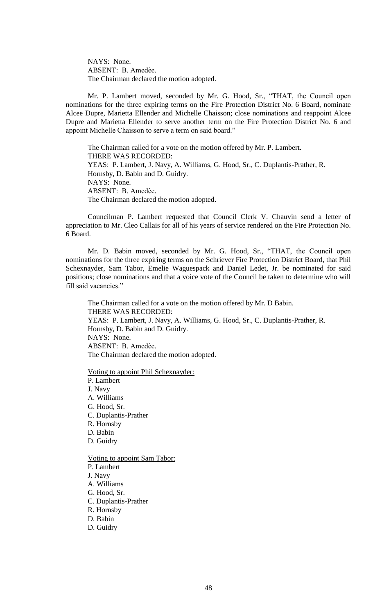NAYS: None. ABSENT: B. Amedèe. The Chairman declared the motion adopted.

Mr. P. Lambert moved, seconded by Mr. G. Hood, Sr., "THAT, the Council open nominations for the three expiring terms on the Fire Protection District No. 6 Board, nominate Alcee Dupre, Marietta Ellender and Michelle Chaisson; close nominations and reappoint Alcee Dupre and Marietta Ellender to serve another term on the Fire Protection District No. 6 and appoint Michelle Chaisson to serve a term on said board."

The Chairman called for a vote on the motion offered by Mr. P. Lambert. THERE WAS RECORDED: YEAS: P. Lambert, J. Navy, A. Williams, G. Hood, Sr., C. Duplantis-Prather, R. Hornsby, D. Babin and D. Guidry. NAYS: None. ABSENT: B. Amedèe. The Chairman declared the motion adopted.

Councilman P. Lambert requested that Council Clerk V. Chauvin send a letter of appreciation to Mr. Cleo Callais for all of his years of service rendered on the Fire Protection No. 6 Board.

Mr. D. Babin moved, seconded by Mr. G. Hood, Sr., "THAT, the Council open nominations for the three expiring terms on the Schriever Fire Protection District Board, that Phil Schexnayder, Sam Tabor, Emelie Waguespack and Daniel Ledet, Jr. be nominated for said positions; close nominations and that a voice vote of the Council be taken to determine who will fill said vacancies."

The Chairman called for a vote on the motion offered by Mr. D Babin. THERE WAS RECORDED: YEAS: P. Lambert, J. Navy, A. Williams, G. Hood, Sr., C. Duplantis-Prather, R. Hornsby, D. Babin and D. Guidry. NAYS: None. ABSENT: B. Amedѐe. The Chairman declared the motion adopted.

Voting to appoint Phil Schexnayder:

P. Lambert J. Navy A. Williams G. Hood, Sr. C. Duplantis-Prather R. Hornsby D. Babin D. Guidry Voting to appoint Sam Tabor: P. Lambert J. Navy A. Williams G. Hood, Sr. C. Duplantis-Prather R. Hornsby

- D. Babin
- D. Guidry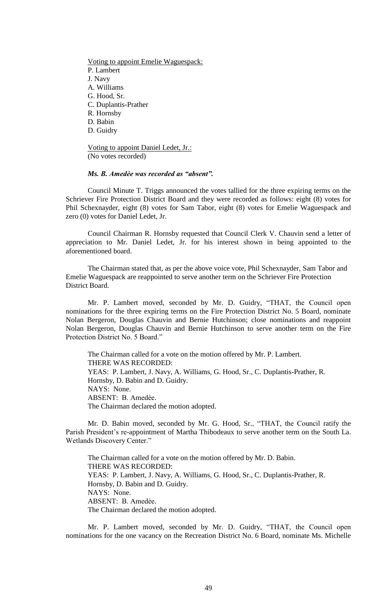Voting to appoint Emelie Waguespack: P. Lambert J. Navy A. Williams G. Hood, Sr. C. Duplantis-Prather R. Hornsby D. Babin D. Guidry

Voting to appoint Daniel Ledet, Jr.: (No votes recorded)

## *Ms. B. Amedѐe was recorded as "absent".*

Council Minute T. Triggs announced the votes tallied for the three expiring terms on the Schriever Fire Protection District Board and they were recorded as follows: eight (8) votes for Phil Schexnayder, eight (8) votes for Sam Tabor, eight (8) votes for Emelie Waguespack and zero (0) votes for Daniel Ledet, Jr.

Council Chairman R. Hornsby requested that Council Clerk V. Chauvin send a letter of appreciation to Mr. Daniel Ledet, Jr. for his interest shown in being appointed to the aforementioned board.

The Chairman stated that, as per the above voice vote, Phil Schexnayder, Sam Tabor and Emelie Waguespack are reappointed to serve another term on the Schriever Fire Protection District Board.

 Mr. P. Lambert moved, seconded by Mr. D. Guidry, "THAT, the Council open nominations for the three expiring terms on the Fire Protection District No. 5 Board, nominate Nolan Bergeron, Douglas Chauvin and Bernie Hutchinson; close nominations and reappoint Nolan Bergeron, Douglas Chauvin and Bernie Hutchinson to serve another term on the Fire Protection District No. 5 Board."

The Chairman called for a vote on the motion offered by Mr. P. Lambert. THERE WAS RECORDED: YEAS: P. Lambert, J. Navy, A. Williams, G. Hood, Sr., C. Duplantis-Prather, R. Hornsby, D. Babin and D. Guidry. NAYS: None. ABSENT: B. Amedèe. The Chairman declared the motion adopted.

Mr. D. Babin moved, seconded by Mr. G. Hood, Sr., "THAT, the Council ratify the Parish President's re-appointment of Martha Thibodeaux to serve another term on the South La. Wetlands Discovery Center."

The Chairman called for a vote on the motion offered by Mr. D. Babin. THERE WAS RECORDED: YEAS: P. Lambert, J. Navy, A. Williams, G. Hood, Sr., C. Duplantis-Prather, R. Hornsby, D. Babin and D. Guidry. NAYS: None. ABSENT: B. Amedèe. The Chairman declared the motion adopted.

Mr. P. Lambert moved, seconded by Mr. D. Guidry, "THAT, the Council open nominations for the one vacancy on the Recreation District No. 6 Board, nominate Ms. Michelle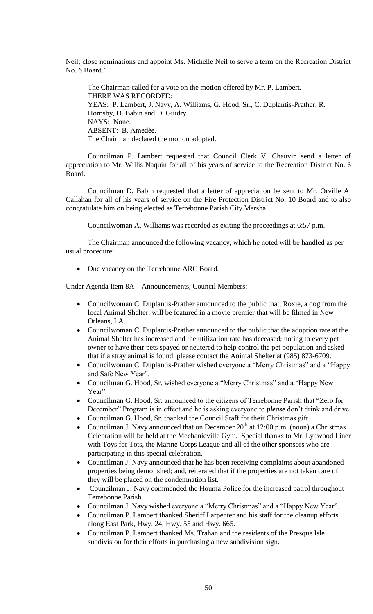Neil; close nominations and appoint Ms. Michelle Neil to serve a term on the Recreation District No. 6 Board."

The Chairman called for a vote on the motion offered by Mr. P. Lambert. THERE WAS RECORDED: YEAS: P. Lambert, J. Navy, A. Williams, G. Hood, Sr., C. Duplantis-Prather, R. Hornsby, D. Babin and D. Guidry. NAYS: None. ABSENT: B. Amedèe. The Chairman declared the motion adopted.

Councilman P. Lambert requested that Council Clerk V. Chauvin send a letter of appreciation to Mr. Willis Naquin for all of his years of service to the Recreation District No. 6 Board.

Councilman D. Babin requested that a letter of appreciation be sent to Mr. Orville A. Callahan for all of his years of service on the Fire Protection District No. 10 Board and to also congratulate him on being elected as Terrebonne Parish City Marshall.

Councilwoman A. Williams was recorded as exiting the proceedings at 6:57 p.m.

The Chairman announced the following vacancy, which he noted will be handled as per usual procedure:

• One vacancy on the Terrebonne ARC Board.

Under Agenda Item 8A – Announcements, Council Members:

- Councilwoman C. Duplantis-Prather announced to the public that, Roxie, a dog from the local Animal Shelter, will be featured in a movie premier that will be filmed in New Orleans, LA.
- Councilwoman C. Duplantis-Prather announced to the public that the adoption rate at the Animal Shelter has increased and the utilization rate has deceased; noting to every pet owner to have their pets spayed or neutered to help control the pet population and asked that if a stray animal is found, please contact the Animal Shelter at (985) 873-6709.
- Councilwoman C. Duplantis-Prather wished everyone a "Merry Christmas" and a "Happy and Safe New Year".
- Councilman G. Hood, Sr. wished everyone a "Merry Christmas" and a "Happy New Year".
- Councilman G. Hood, Sr. announced to the citizens of Terrebonne Parish that "Zero for December" Program is in effect and he is asking everyone to *please* don't drink and drive.
- Councilman G. Hood, Sr. thanked the Council Staff for their Christmas gift.
- Councilman J. Navy announced that on December  $20<sup>th</sup>$  at 12:00 p.m. (noon) a Christmas Celebration will be held at the Mechanicville Gym. Special thanks to Mr. Lynwood Liner with Toys for Tots, the Marine Corps League and all of the other sponsors who are participating in this special celebration.
- Councilman J. Navy announced that he has been receiving complaints about abandoned properties being demolished; and, reiterated that if the properties are not taken care of, they will be placed on the condemnation list.
- Councilman J. Navy commended the Houma Police for the increased patrol throughout Terrebonne Parish.
- Councilman J. Navy wished everyone a "Merry Christmas" and a "Happy New Year".
- Councilman P. Lambert thanked Sheriff Larpenter and his staff for the cleanup efforts along East Park, Hwy. 24, Hwy. 55 and Hwy. 665.
- Councilman P. Lambert thanked Ms. Trahan and the residents of the Presque Isle subdivision for their efforts in purchasing a new subdivision sign.